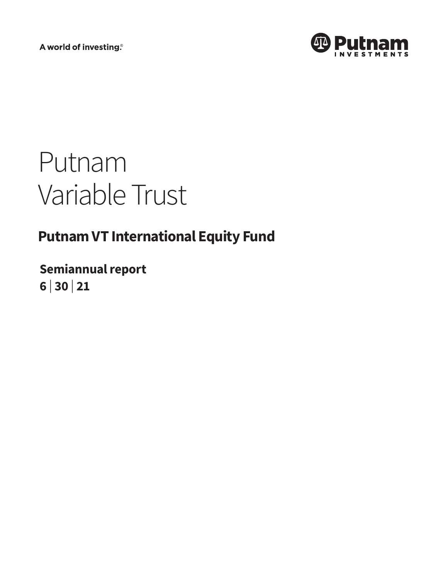A world of investing®



# Putnam Variable Trust

# **Putnam VT International Equity Fund**

**Semiannual report 6 <sup>|</sup> 30 <sup>|</sup> 21**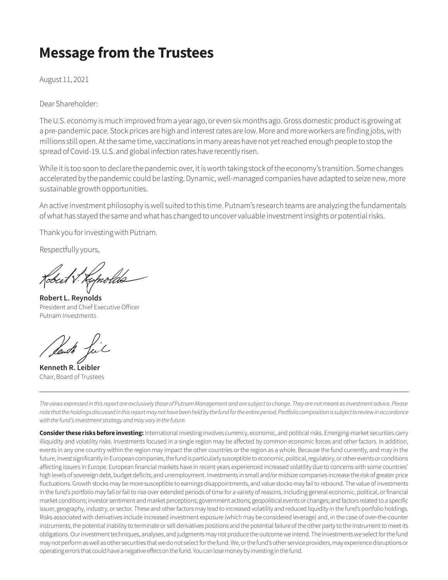# **Message from the Trustees**

August 11, 2021

Dear Shareholder:

The U.S. economy is much improved from a year ago, or even six months ago. Gross domestic product is growing at a pre-pandemic pace. Stock prices are high and interest rates are low. More and more workers are finding jobs, with millions still open. At the same time, vaccinations in many areas have not yet reached enough people to stop the spread of Covid-19. U.S. and global infection rates have recently risen.

While it is too soon to declare the pandemic over, it is worth taking stock of the economy's transition. Some changes accelerated by the pandemic could be lasting. Dynamic, well-managed companies have adapted to seize new, more sustainable growth opportunities.

An active investment philosophy is well suited to this time. Putnam's research teams are analyzing the fundamentals of what has stayed the same and what has changed to uncover valuable investment insights or potential risks.

Thank you for investing with Putnam.

Respectfully yours,

**Robert L. Reynolds** President and Chief Executive Officer Putnam Investments

**Kenneth R. Leibler** Chair, Board of Trustees

*The views expressed in this report are exclusively those of Putnam Management and are subject to change. They are not meant as investment advice. Please note that the holdings discussed in this report may not have been held by the fund for the entire period. Portfolio composition is subject to review in accordance with the fund's investment strategy and may vary in the future.*

**Consider these risks before investing:** International investing involves currency, economic, and political risks. Emerging-market securities carry illiquidity and volatility risks. Investments focused in a single region may be affected by common economic forces and other factors. In addition, events in any one country within the region may impact the other countries or the region as a whole. Because the fund currently, and may in the future, invest significantly in European companies, the fund is particularly susceptible to economic, political, regulatory, or other events or conditions affecting issuers in Europe. European financial markets have in recent years experienced increased volatility due to concerns with some countries' high levels of sovereign debt, budget deficits, and unemployment. Investments in small and/or midsize companies increase the risk of greater price fluctuations. Growth stocks may be more susceptible to earnings disappointments, and value stocks may fail to rebound. The value of investments in the fund's portfolio may fall or fail to rise over extended periods of time for a variety of reasons, including general economic, political, or financial market conditions; investor sentiment and market perceptions; government actions; geopolitical events or changes; and factors related to a specific issuer, geography, industry, or sector. These and other factors may lead to increased volatility and reduced liquidity in the fund's portfolio holdings. Risks associated with derivatives include increased investment exposure (which may be considered leverage) and, in the case of over-the-counter instruments, the potential inability to terminate or sell derivatives positions and the potential failure of the other party to the instrument to meet its obligations. Our investment techniques, analyses, and judgments may not produce the outcome we intend. The investments we select for the fund may not perform as well as other securities that we do not select for the fund. We, or the fund's other service providers, may experience disruptions or operating errors that could have a negative effect on the fund. You can lose money by investing in the fund.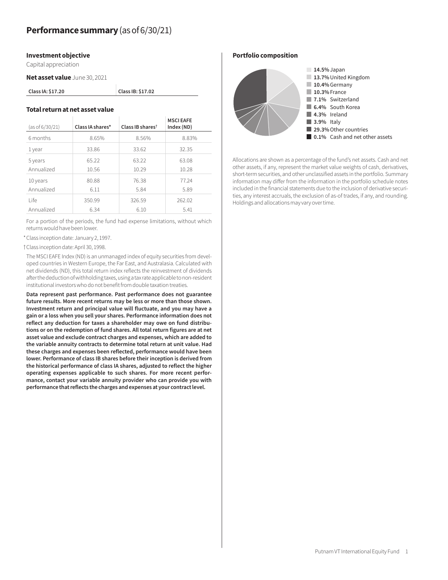#### **Investment objective**

Capital appreciation

**Net asset value** June 30, 2021

| Class IA: \$17.20 |
|-------------------|
|-------------------|

#### **Total return at net asset value**

| (as of 6/30/21) | Class IA shares* | Class IB shares <sup>t</sup> | <b>MSCIEAFE</b><br>Index (ND) |
|-----------------|------------------|------------------------------|-------------------------------|
| 6 months        | 8.65%            | 8.56%                        | 8.83%                         |
| 1 year          | 33.86            | 33.62                        | 32.35                         |
| 5 years         | 65.22            | 63.22                        | 63.08                         |
| Annualized      | 10.56            | 10.29                        | 10.28                         |
| 10 years        | 80.88            | 76.38                        | 77.24                         |
| Annualized      | 6.11             | 5.84                         | 5.89                          |
| l ife           | 350.99           | 326.59                       | 262.02                        |
| Annualized      | 6.34             | 6.10                         | 5.41                          |

**Class IA: \$17.20 Class IB: \$17.02**

For a portion of the periods, the fund had expense limitations, without which returns would have been lower.

\*Class inception date: January 2, 1997.

†Class inception date: April 30, 1998.

The MSCI EAFE Index (ND) is an unmanaged index of equity securities from developed countries in Western Europe, the Far East, and Australasia. Calculated with net dividends (ND), this total return index reflects the reinvestment of dividends after the deduction of withholding taxes, using a tax rate applicable to non-resident institutional investors who do not benefit from double taxation treaties.

**Data represent past performance. Past performance does not guarantee future results. More recent returns may be less or more than those shown. Investment return and principal value will fluctuate, and you may have a gain or a loss when you sell your shares. Performance information does not reflect any deduction for taxes a shareholder may owe on fund distributions or on the redemption of fund shares. All total return figures are at net asset value and exclude contract charges and expenses, which are added to the variable annuity contracts to determine total return at unit value. Had these charges and expenses been reflected, performance would have been lower. Performance of class IB shares before their inception is derived from the historical performance of class IA shares, adjusted to reflect the higher operating expenses applicable to such shares. For more recent performance, contact your variable annuity provider who can provide you with performance that reflects the charges and expenses at your contract level.**

**Portfolio composition**



Allocations are shown as a percentage of the fund's net assets. Cash and net other assets, if any, represent the market value weights of cash, derivatives, short-term securities, and other unclassified assets in the portfolio. Summary information may differ from the information in the portfolio schedule notes included in the financial statements due to the inclusion of derivative securities, any interest accruals, the exclusion of as-of trades, if any, and rounding. Holdings and allocations may vary over time.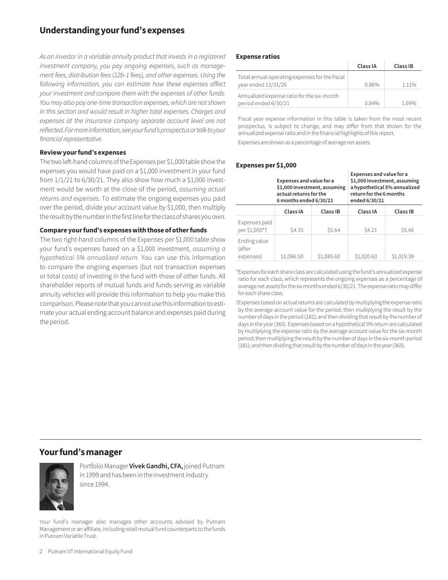# **Understanding your fund's expenses**

*As an investor in a variable annuity product that invests in a registered investment company, you pay ongoing expenses, such as management fees, distribution fees (12b-1 fees), and other expenses. Using the following information, you can estimate how these expenses affect your investment and compare them with the expenses of other funds. You may also pay one-time transaction expenses, which are not shown in this section and would result in higher total expenses. Charges and*  expenses at the insurance company separate account level are not *reflected. For more information, see your fund's prospectus or talk to your financial representative.*

#### **Review your fund's expenses**

The two left-hand columns of the Expenses per \$1,000 table show the expenses you would have paid on a \$1,000 investment in your fund from  $1/1/21$  to  $6/30/21$ . They also show how much a \$1,000 investment would be worth at the close of the period, *assuming actual returns and expenses.* To estimate the ongoing expenses you paid over the period, divide your account value by \$1,000, then multiply the result by the number in the first line for the class of shares you own.

#### **Compare your fund's expenses with those of other funds**

The two right-hand columns of the Expenses per \$1,000 table show your fund's expenses based on a \$1,000 investment, *assuming a hypothetical 5% annualized return.* You can use this information to compare the ongoing expenses (but not transaction expenses or total costs) of investing in the fund with those of other funds. All shareholder reports of mutual funds and funds serving as variable annuity vehicles will provide this information to help you make this comparison. Please note that you cannot use this information to estimate your actual ending account balance and expenses paid during the period.

#### **Expense ratios**

|                                                                       | Class IA | Class IB |
|-----------------------------------------------------------------------|----------|----------|
| Total annual operating expenses for the fiscal<br>year ended 12/31/20 | 0.86%    | 1 1 1 %  |
| Annualized expense ratio for the six-month<br>period ended 6/30/21    | 0.84%    | 1.09%    |

Fiscal year expense information in this table is taken from the most recent prospectus, is subject to change, and may differ from that shown for the annualized expense ratio and in the financial highlights of this report.

Expenses are shown as a percentage of average net assets.

#### **Expenses per \$1,000**

|                                     | Expenses and value for a<br>actual returns for the<br>6 months ended 6/30/21 | \$1,000 investment, assuming | Expenses and value for a<br>\$1,000 investment, assuming<br>return for the 6 months<br>ended 6/30/21 | a hypothetical 5% annualized |
|-------------------------------------|------------------------------------------------------------------------------|------------------------------|------------------------------------------------------------------------------------------------------|------------------------------|
|                                     | Class IA                                                                     | Class IB                     | Class IA                                                                                             | Class IB                     |
| Expenses paid<br>per \$1,000*†      | \$4.35                                                                       | \$5.64                       | \$4.21                                                                                               | \$5.46                       |
| Ending value<br>(after<br>expenses) | \$1,086.50                                                                   | \$1,085.60                   | \$1,020.63                                                                                           | \$1,019.39                   |

\*Expenses for each share class are calculated using the fund's annualized expense ratio for each class, which represents the ongoing expenses as a percentage of average net assets for the six months ended 6/30/21. The expense ratio may differ for each share class.

†Expenses based on actual returns are calculated by multiplying the expense ratio by the average account value for the period; then multiplying the result by the number of days in the period (181); and then dividing that result by the number of days in the year (365). Expenses based on a hypothetical 5% return are calculated by multiplying the expense ratio by the average account value for the six-month period; then multiplying the result by the number of days in the six-month period (181); and then dividing that result by the number of days in the year (365).

### **Your fund's manager**



Portfolio Manager **Vivek Gandhi, CFA,** joined Putnam in 1999 and has been in the investment industry since 1994.

Your fund's manager also manages other accounts advised by Putnam Management or an affiliate, including retail mutual fund counterparts to the funds in Putnam Variable Trust.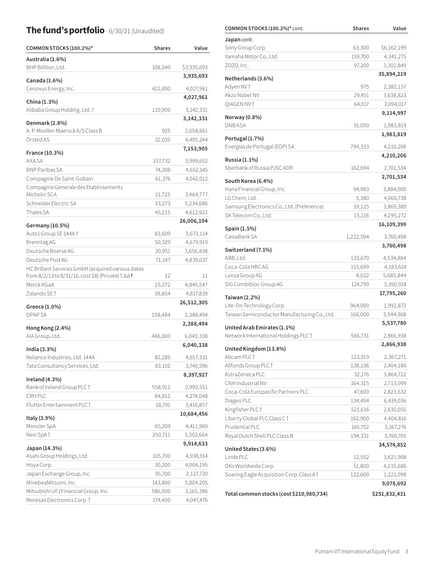# **The fund's portfolio** 6/30/21 (Unaudited)

| COMMON STOCKS (100.2%)*                            | <b>Shares</b> | Value       |
|----------------------------------------------------|---------------|-------------|
| Australia (1.6%)                                   |               |             |
| BHP Billiton, Ltd.                                 | 108,049       | \$3,935,693 |
| Canada (1.6%)                                      |               | 3,935,693   |
| Cenovus Energy, Inc.                               | 421,000       | 4,027,961   |
|                                                    |               | 4,027,961   |
| China (1.3%)                                       |               |             |
| Alibaba Group Holding, Ltd. †                      | 110,900       | 3,142,331   |
| Denmark (2.8%)                                     |               | 3,142,331   |
| A. P. Moeller-Maersck A/S Class B                  | 925           | 2,658,661   |
| Orsted AS                                          | 32,035        | 4,495,244   |
| France (10.3%)                                     |               | 7,153,905   |
| AXA SA                                             | 157,732       | 3,999,652   |
| <b>BNP Paribas SA</b>                              | 74,208        | 4,652,145   |
| Compagnie De Saint-Gobain                          | 61,376        | 4,042,012   |
| Compagnie Generale des Etablissements              |               |             |
| Michelin SCA                                       | 21,725        | 3,464,777   |
| Schneider Electric SA                              | 33,273        | 5,234,686   |
| Thales SA                                          | 45,215        | 4,612,922   |
| Germany (10.5%)                                    |               | 26,006,194  |
| Auto1 Group SE 144A1                               | 83,609        | 3,673,114   |
| Brenntag AG                                        | 50,329        | 4,679,919   |
| Deutsche Boerse AG                                 | 20,951        | 3,656,838   |
| Deutsche Post AG                                   | 71,147        | 4,839,037   |
| HC Brillant Services GmbH (acquired various dates  |               |             |
| from 8/2/13 to 8/31/16, cost \$8) (Private) † ∆∆ F | 12            | 11          |
| Merck KGaA                                         | 25,272        | 4,845,547   |
| Zalando SE †                                       | 39,854        | 4,817,839   |
| Greece (1.0%)                                      |               | 26,512,305  |
| OPAP SA                                            | 158,484       | 2,388,494   |
|                                                    |               | 2,388,494   |
| Hong Kong (2.4%)                                   |               |             |
| AIA Group, Ltd.                                    | 486,000       | 6,040,338   |
| India (3.3%)                                       |               | 6,040,338   |
| Reliance Industries, Ltd. 144A                     | 82,285        | 4,657,331   |
| Tata Consultancy Services, Ltd.                    | 83,102        | 3,740,596   |
| Ireland (4.3%)                                     |               | 8,397,927   |
| Bank of Ireland Group PLC 1                        | 558,912       | 2,993,551   |
| CRH PLC                                            | 84,812        | 4,274,048   |
| Flutter Entertainment PLC                          | 18,791        | 3,416,857   |
|                                                    |               | 10,684,456  |
| Italy (3.9%)<br>Moncler SpA                        | 65,209        | 4,411,969   |
| Nexi SpA†                                          | 250,711       | 5,502,664   |
|                                                    |               | 9,914,633   |
| Japan (14.3%)                                      |               |             |
| Asahi Group Holdings, Ltd.                         | 105,700       | 4,938,914   |
| Hoya Corp.                                         | 30,200        | 4,004,195   |
| Japan Exchange Group, Inc.                         | 95,700        | 2,127,720   |
| MinebeaMitsumi, Inc.                               | 143,800       | 3,804,205   |
| Mitsubishi UFJ Financial Group, Inc.               | 586,000       | 3,165,386   |
| Renesas Electronics Corp. †                        | 374,400       | 4,047,476   |

| COMMON STOCKS (100.2%)* cont.                    | Shares            | Value                  |
|--------------------------------------------------|-------------------|------------------------|
| Japan cont.                                      |                   |                        |
| Sony Group Corp.                                 | 63,300            | \$6,162,199            |
| Yamaha Motor Co., Ltd.                           | 159,700           | 4,341,275              |
| ZOZO, Inc.                                       | 97,200            | 3,302,849              |
| Netherlands (3.6%)                               |                   | 35,894,219             |
| Adyen NV †                                       | 975               | 2,382,157              |
| Akzo Nobel NV                                    | 29,451            | 3,638,823              |
| QIAGEN NV+                                       | 64,017            | 3,094,017              |
|                                                  |                   | 9,114,997              |
| Norway (0.8%)<br><b>DNBASA</b>                   |                   |                        |
|                                                  | 91,050            | 1,983,819<br>1,983,819 |
| Portugal (1.7%)                                  |                   |                        |
| Energias de Portugal (EDP) SA                    | 794,333           | 4,210,206              |
| Russia (1.1%)                                    |                   | 4,210,206              |
| Sberbank of Russia PJSC ADR                      | 162,694           | 2,701,534              |
|                                                  |                   | 2,701,534              |
| South Korea (6.4%)<br>Hana Financial Group, Inc. |                   |                        |
| LG Chem, Ltd.                                    | 94,983<br>5,380   | 3,884,000<br>4,060,738 |
| Samsung Electronics Co., Ltd. (Preference)       | 59,125            | 3,869,389              |
| SK Telecom Co., Ltd.                             | 15,116            | 4,295,272              |
|                                                  |                   | 16,109,399             |
| Spain (1.5%)                                     |                   |                        |
| CaixaBank SA                                     | 1,222,594         | 3,760,498              |
| Switzerland (7.1%)                               |                   | 3,760,498              |
| ABB, Ltd.                                        | 133,670           | 4,534,884              |
| Coca-Cola HBCAG                                  | 115,699           | 4,183,614              |
| Lonza Group AG                                   | 8,022             | 5,685,844              |
| SIG Combibloc Group AG                           | 124,799           | 3,390,918              |
| Taiwan (2.2%)                                    |                   | 17,795,260             |
| Lite-On Technology Corp.                         | 964,000           | 1,992,872              |
| Taiwan Semiconductor Manufacturing Co., Ltd.     | 166,000           | 3,544,908              |
| United Arab Emirates (1.1%)                      |                   | 5,537,780              |
| Network International Holdings PLC               | 566,731           | 2,866,938              |
|                                                  |                   | 2,866,938              |
| United Kingdom (13.8%)                           |                   |                        |
| Abcam PLC †                                      | 123,919           | 2,367,271              |
| Allfunds Group PLC  <br>AstraZeneca PLC          | 138,136           | 2,404,180              |
| CNH Industrial NV                                | 32,176<br>164,315 | 3,864,722<br>2,713,099 |
| Coca-Cola Europacific Partners PLC               | 47,600            | 2,823,632              |
| Diageo PLC                                       | 134,494           | 6,439,036              |
| Kingfisher PLC                                   | 521,616           | 2,630,055              |
| Liberty Global PLC Class C                       | 162,900           | 4,404,816              |
| Prudential PLC                                   | 166,702           | 3,167,276              |
| Royal Dutch Shell PLC Class B                    | 194,331           | 3,760,765              |
|                                                  |                   | 34,574,852             |
| United States (3.6%)                             |                   |                        |
| Linde PLC<br>Otis Worldwide Corp.                | 12,552<br>51,800  | 3,621,908<br>4,235,686 |
| Soaring Eagle Acquisition Corp. Class A          | 122,600           | 1,221,098              |
|                                                  |                   | 9,078,692              |
|                                                  |                   |                        |
| Total common stocks (cost \$210,980,734)         |                   | \$251,832,431          |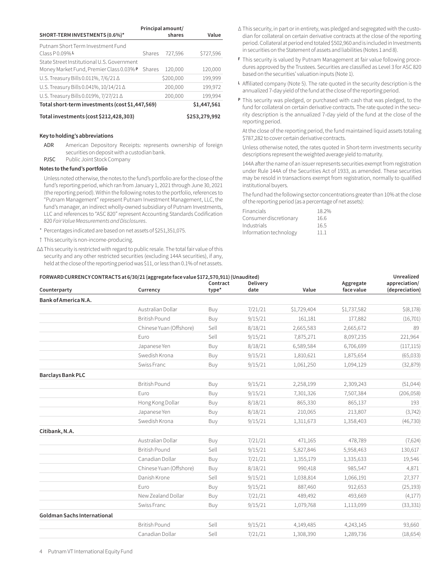|                                                                                        |        | Principal amount/ |               |
|----------------------------------------------------------------------------------------|--------|-------------------|---------------|
| SHORT-TERM INVESTMENTS (0.6%)*                                                         |        | shares            | Value         |
| Putnam Short Term Investment Fund<br>$ClassP0.09\%L$                                   | Shares | 727,596           | \$727,596     |
| State Street Institutional U.S. Government<br>Money Market Fund, Premier Class 0.03% P | Shares | 120,000           | 120,000       |
| U.S. Treasury Bills 0.011%, $7/6/21 \Delta$                                            |        | \$200,000         | 199,999       |
| U.S. Treasury Bills 0.041%, $10/14/21 \Delta$                                          |        | 200,000           | 199,972       |
| U.S. Treasury Bills 0.019%, 7/27/21 A                                                  |        | 200,000           | 199,994       |
| Total short-term investments (cost \$1,447,569)                                        |        |                   | \$1,447,561   |
| Total investments (cost \$212,428,303)                                                 |        |                   | \$253,279,992 |

#### **Key to holding's abbreviations**

ADR American Depository Receipts: represents ownership of foreign securities on deposit with a custodian bank. PJSC Public Joint Stock Company

#### **Notes to the fund's portfolio**

Unless noted otherwise, the notes to the fund's portfolio are for the close of the fund's reporting period, which ran from January 1, 2021 through June 30, 2021 (the reporting period). Within the following notes to the portfolio, references to "Putnam Management" represent Putnam Investment Management, LLC, the fund's manager, an indirect wholly-owned subsidiary of Putnam Investments, LLC and references to "ASC 820" represent Accounting Standards Codification 820 *Fair Value Measurements and Disclosures*.

- Percentages indicated are based on net assets of \$251,351,075.
- † This security is non-income-producing.
- ∆∆This security is restricted with regard to public resale. The total fair value of this security and any other restricted securities (excluding 144A securities), if any, held at the close of the reporting period was \$11, or less than 0.1% of net assets.
- ∆ This security, in part or in entirety, was pledged and segregated with the custodian for collateral on certain derivative contracts at the close of the reporting period. Collateral at period end totaled \$502,960 and is included in Investments in securities on the Statement of assets and liabilities (Notes 1 and 8).
- **<sup>F</sup>** This security is valued by Putnam Management at fair value following procedures approved by the Trustees. Securities are classified as Level 3 for ASC 820 based on the securities' valuation inputs (Note 1).
- **<sup>L</sup>** Affiliated company (Note 5). The rate quoted in the security description is the annualized 7-day yield of the fund at the close of the reporting period.
- **<sup>P</sup>** This security was pledged, or purchased with cash that was pledged, to the fund for collateral on certain derivative contracts. The rate quoted in the security description is the annualized 7-day yield of the fund at the close of the reporting period.

At the close of the reporting period, the fund maintained liquid assets totaling \$787,282 to cover certain derivative contracts.

Unless otherwise noted, the rates quoted in Short-term investments security descriptions represent the weighted average yield to maturity.

144A after the name of an issuer represents securities exempt from registration under Rule 144A of the Securities Act of 1933, as amended. These securities may be resold in transactions exempt from registration, normally to qualified institutional buyers.

The fund had the following sector concentrations greater than 10% at the close of the reporting period (as a percentage of net assets):

| Financials             | 18.2% |
|------------------------|-------|
| Consumer discretionary | 16.6  |
| Industrials            | 16.5  |
| Information technology | 1111  |

| FORWARD CURRENCY CONTRACTS at 6/30/21 (aggregate face value \$172,570,911) (Unaudited)<br>Contract |                         |       |                  |             |                         | Unrealized                      |
|----------------------------------------------------------------------------------------------------|-------------------------|-------|------------------|-------------|-------------------------|---------------------------------|
| Counterparty                                                                                       | Currency                | type* | Delivery<br>date | Value       | Aggregate<br>face value | appreciation/<br>(depreciation) |
| Bank of America N.A.                                                                               |                         |       |                  |             |                         |                                 |
|                                                                                                    | Australian Dollar       | Buy   | 7/21/21          | \$1,729,404 | \$1,737,582             | \$ (8,178)                      |
|                                                                                                    | <b>British Pound</b>    | Buy   | 9/15/21          | 161,181     | 177,882                 | (16, 701)                       |
|                                                                                                    | Chinese Yuan (Offshore) | Sell  | 8/18/21          | 2,665,583   | 2,665,672               | 89                              |
|                                                                                                    | Euro                    | Sell  | 9/15/21          | 7,875,271   | 8,097,235               | 221,964                         |
|                                                                                                    | Japanese Yen            | Buy   | 8/18/21          | 6,589,584   | 6,706,699               | (117, 115)                      |
|                                                                                                    | Swedish Krona           | Buy   | 9/15/21          | 1,810,621   | 1,875,654               | (65, 033)                       |
|                                                                                                    | Swiss Franc             | Buy   | 9/15/21          | 1,061,250   | 1,094,129               | (32, 879)                       |
| <b>Barclays Bank PLC</b>                                                                           |                         |       |                  |             |                         |                                 |
|                                                                                                    | <b>British Pound</b>    | Buy   | 9/15/21          | 2,258,199   | 2,309,243               | (51, 044)                       |
|                                                                                                    | Euro                    | Buy   | 9/15/21          | 7,301,326   | 7,507,384               | (206, 058)                      |
|                                                                                                    | Hong Kong Dollar        | Buy   | 8/18/21          | 865,330     | 865,137                 | 193                             |
|                                                                                                    | Japanese Yen            | Buy   | 8/18/21          | 210,065     | 213,807                 | (3,742)                         |
|                                                                                                    | Swedish Krona           | Buy   | 9/15/21          | 1,311,673   | 1,358,403               | (46, 730)                       |
| Citibank, N.A.                                                                                     |                         |       |                  |             |                         |                                 |
|                                                                                                    | Australian Dollar       | Buy   | 7/21/21          | 471,165     | 478,789                 | (7,624)                         |
|                                                                                                    | <b>British Pound</b>    | Sell  | 9/15/21          | 5,827,846   | 5,958,463               | 130,617                         |
|                                                                                                    | Canadian Dollar         | Buy   | 7/21/21          | 1,355,179   | 1,335,633               | 19,546                          |
|                                                                                                    | Chinese Yuan (Offshore) | Buy   | 8/18/21          | 990,418     | 985,547                 | 4,871                           |
|                                                                                                    | Danish Krone            | Sell  | 9/15/21          | 1,038,814   | 1,066,191               | 27,377                          |
|                                                                                                    | Euro                    | Buy   | 9/15/21          | 887,460     | 912,653                 | (25, 193)                       |
|                                                                                                    | New Zealand Dollar      | Buy   | 7/21/21          | 489,492     | 493,669                 | (4,177)                         |
|                                                                                                    | Swiss Franc             | Buy   | 9/15/21          | 1,079,768   | 1,113,099               | (33, 331)                       |
| Goldman Sachs International                                                                        |                         |       |                  |             |                         |                                 |
|                                                                                                    | <b>British Pound</b>    | Sell  | 9/15/21          | 4,149,485   | 4,243,145               | 93,660                          |
|                                                                                                    | Canadian Dollar         | Sell  | 7/21/21          | 1,308,390   | 1,289,736               | (18, 654)                       |
|                                                                                                    |                         |       |                  |             |                         |                                 |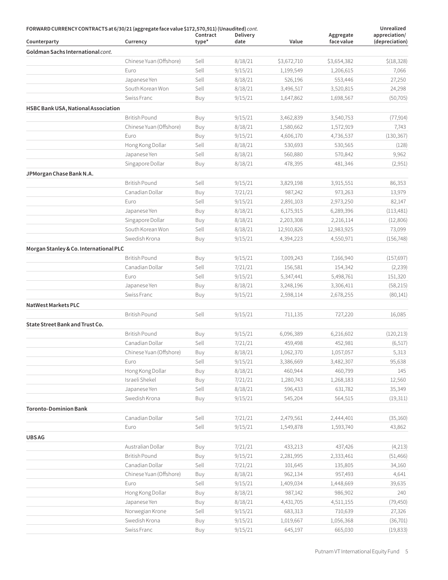| FORWARD CURRENCY CONTRACTS at 6/30/21 (aggregate face value \$172,570,911) (Unaudited) cont.<br>Contract<br>Delivery |                         |             |         |             | Aggregate   | Unrealized<br>appreciation/ |
|----------------------------------------------------------------------------------------------------------------------|-------------------------|-------------|---------|-------------|-------------|-----------------------------|
| Counterparty                                                                                                         | Currency                | type*       | date    | Value       | face value  | (depreciation)              |
| Goldman Sachs International cont.                                                                                    |                         |             |         |             |             |                             |
|                                                                                                                      | Chinese Yuan (Offshore) | Sell        | 8/18/21 | \$3,672,710 | \$3,654,382 | \$(18, 328)                 |
|                                                                                                                      | Euro                    | Sell        | 9/15/21 | 1,199,549   | 1,206,615   | 7,066                       |
|                                                                                                                      | Japanese Yen            | Sell        | 8/18/21 | 526,196     | 553,446     | 27,250                      |
|                                                                                                                      | South Korean Won        | Sell        | 8/18/21 | 3,496,517   | 3,520,815   | 24,298                      |
|                                                                                                                      | Swiss Franc             | Buy         | 9/15/21 | 1,647,862   | 1,698,567   | (50, 705)                   |
| HSBC Bank USA, National Association                                                                                  |                         |             |         |             |             |                             |
|                                                                                                                      | <b>British Pound</b>    | Buy         | 9/15/21 | 3,462,839   | 3,540,753   | (77, 914)                   |
|                                                                                                                      | Chinese Yuan (Offshore) | Buy         | 8/18/21 | 1,580,662   | 1,572,919   | 7,743                       |
|                                                                                                                      | Euro                    | Buy         | 9/15/21 | 4,606,170   | 4,736,537   | (130, 367)                  |
|                                                                                                                      | Hong Kong Dollar        | Sell        | 8/18/21 | 530,693     | 530,565     | (128)                       |
|                                                                                                                      | Japanese Yen            | Sell        | 8/18/21 | 560,880     | 570,842     | 9,962                       |
|                                                                                                                      | Singapore Dollar        | Buy         | 8/18/21 | 478,395     | 481,346     | (2,951)                     |
| JPMorgan Chase Bank N.A.                                                                                             |                         |             |         |             |             |                             |
|                                                                                                                      | <b>British Pound</b>    | Sell        | 9/15/21 | 3,829,198   | 3,915,551   | 86,353                      |
|                                                                                                                      | Canadian Dollar         | Buy         | 7/21/21 | 987,242     | 973,263     | 13,979                      |
|                                                                                                                      | Euro                    | Sell        | 9/15/21 | 2,891,103   | 2,973,250   | 82,147                      |
|                                                                                                                      | Japanese Yen            | Buy         | 8/18/21 | 6,175,915   | 6,289,396   | (113, 481)                  |
|                                                                                                                      | Singapore Dollar        | Buy         | 8/18/21 | 2,203,308   | 2,216,114   | (12,806)                    |
|                                                                                                                      | South Korean Won        | Sell        | 8/18/21 | 12,910,826  | 12,983,925  | 73,099                      |
|                                                                                                                      | Swedish Krona           | Buy         | 9/15/21 | 4,394,223   | 4,550,971   | (156, 748)                  |
| Morgan Stanley & Co. International PLC                                                                               |                         |             |         |             |             |                             |
|                                                                                                                      | <b>British Pound</b>    |             | 9/15/21 | 7,009,243   | 7,166,940   | (157, 697)                  |
|                                                                                                                      | Canadian Dollar         | Buy<br>Sell | 7/21/21 | 156,581     | 154,342     |                             |
|                                                                                                                      | Euro                    | Sell        |         |             |             | (2,239)                     |
|                                                                                                                      |                         |             | 9/15/21 | 5,347,441   | 5,498,761   | 151,320                     |
|                                                                                                                      | Japanese Yen            | Buy         | 8/18/21 | 3,248,196   | 3,306,411   | (58, 215)                   |
|                                                                                                                      | Swiss Franc             | Buy         | 9/15/21 | 2,598,114   | 2,678,255   | (80, 141)                   |
| NatWest Markets PLC                                                                                                  |                         |             |         |             |             |                             |
|                                                                                                                      | <b>British Pound</b>    | Sell        | 9/15/21 | 711,135     | 727,220     | 16,085                      |
| State Street Bank and Trust Co.                                                                                      |                         |             |         |             |             |                             |
|                                                                                                                      | <b>British Pound</b>    | Buy         | 9/15/21 | 6,096,389   | 6,216,602   | (120, 213)                  |
|                                                                                                                      | Canadian Dollar         | Sell        | 7/21/21 | 459,498     | 452,981     | (6, 517)                    |
|                                                                                                                      | Chinese Yuan (Offshore) | Buy         | 8/18/21 | 1,062,370   | 1,057,057   | 5,313                       |
|                                                                                                                      | Euro                    | Sell        | 9/15/21 | 3,386,669   | 3,482,307   | 95,638                      |
|                                                                                                                      | Hong Kong Dollar        | Buy         | 8/18/21 | 460,944     | 460,799     | 145                         |
|                                                                                                                      | Israeli Shekel          | Buy         | 7/21/21 | 1,280,743   | 1,268,183   | 12,560                      |
|                                                                                                                      | Japanese Yen            | Sell        | 8/18/21 | 596,433     | 631,782     | 35,349                      |
|                                                                                                                      | Swedish Krona           | Buy         | 9/15/21 | 545,204     | 564,515     | (19, 311)                   |
| <b>Toronto-Dominion Bank</b>                                                                                         |                         |             |         |             |             |                             |
|                                                                                                                      | Canadian Dollar         | Sell        | 7/21/21 | 2,479,561   | 2,444,401   | (35,160)                    |
|                                                                                                                      | Euro                    | Sell        | 9/15/21 | 1,549,878   | 1,593,740   | 43,862                      |
| <b>UBSAG</b>                                                                                                         |                         |             |         |             |             |                             |
|                                                                                                                      | Australian Dollar       | Buy         | 7/21/21 | 433,213     | 437,426     | (4,213)                     |
|                                                                                                                      | <b>British Pound</b>    | Buy         | 9/15/21 | 2,281,995   | 2,333,461   | (51, 466)                   |
|                                                                                                                      | Canadian Dollar         | Sell        | 7/21/21 | 101,645     | 135,805     | 34,160                      |
|                                                                                                                      | Chinese Yuan (Offshore) | Buy         | 8/18/21 | 962,134     | 957,493     | 4,641                       |
|                                                                                                                      | Euro                    | Sell        | 9/15/21 | 1,409,034   | 1,448,669   | 39,635                      |
|                                                                                                                      | Hong Kong Dollar        | Buy         | 8/18/21 | 987,142     | 986,902     | 240                         |
|                                                                                                                      | Japanese Yen            | Buy         | 8/18/21 | 4,431,705   | 4,511,155   | (79, 450)                   |
|                                                                                                                      | Norwegian Krone         | Sell        | 9/15/21 | 683,313     | 710,639     | 27,326                      |
|                                                                                                                      | Swedish Krona           | Buy         | 9/15/21 | 1,019,667   | 1,056,368   | (36, 701)                   |
|                                                                                                                      | Swiss Franc             | Buy         | 9/15/21 | 645,197     | 665,030     | (19, 833)                   |
|                                                                                                                      |                         |             |         |             |             |                             |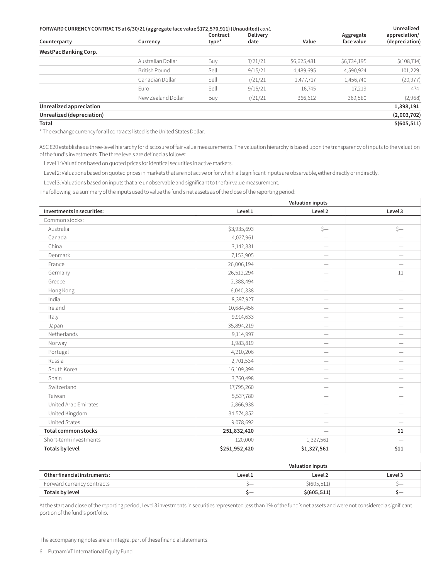| FORWARD CURRENCY CONTRACTS at 6/30/21 (aggregate face value \$172,570,911) (Unaudited) cont. |                    |                   |                  |             |                         | Unrealized                      |
|----------------------------------------------------------------------------------------------|--------------------|-------------------|------------------|-------------|-------------------------|---------------------------------|
| Counterparty                                                                                 | Currency           | Contract<br>type* | Delivery<br>date | Value       | Aggregate<br>face value | appreciation/<br>(depreciation) |
| WestPac Banking Corp.                                                                        |                    |                   |                  |             |                         |                                 |
|                                                                                              | Australian Dollar  | Buy               | 7/21/21          | \$6,625,481 | \$6,734,195             | \$(108, 714)                    |
|                                                                                              | British Pound      | Sell              | 9/15/21          | 4,489,695   | 4,590,924               | 101,229                         |
|                                                                                              | Canadian Dollar    | Sell              | 7/21/21          | 1,477,717   | 1,456,740               | (20, 977)                       |
|                                                                                              | Euro               | Sell              | 9/15/21          | 16,745      | 17,219                  | 474                             |
|                                                                                              | New Zealand Dollar | Buy               | 7/21/21          | 366,612     | 369,580                 | (2,968)                         |
| Unrealized appreciation                                                                      |                    |                   |                  |             |                         | 1,398,191                       |
| Unrealized (depreciation)                                                                    |                    |                   |                  |             |                         | (2,003,702)                     |
| Total                                                                                        |                    |                   |                  |             |                         | \$(605, 511)                    |

\* The exchange currency for all contracts listed is the United States Dollar.

ASC 820 establishes a three-level hierarchy for disclosure of fair value measurements. The valuation hierarchy is based upon the transparency of inputs to the valuation of the fund's investments. The three levels are defined as follows:

Level 1: Valuations based on quoted prices for identical securities in active markets.

Level 2: Valuations based on quoted prices in markets that are not active or for which all significant inputs are observable, either directly or indirectly.

Level 3: Valuations based on inputs that are unobservable and significant to the fair value measurement.

The following is a summary of the inputs used to value the fund's net assets as of the close of the reporting period:

|                            |               | <b>Valuation inputs</b>  |                          |  |  |
|----------------------------|---------------|--------------------------|--------------------------|--|--|
| Investments in securities: | Level 1       | Level 2                  | Level 3                  |  |  |
| Common stocks:             |               |                          |                          |  |  |
| Australia                  | \$3,935,693   | $s-$                     | $\zeta-$                 |  |  |
| Canada                     | 4,027,961     | $\qquad \qquad$          |                          |  |  |
| China                      | 3,142,331     | $\qquad \qquad$          | $\overline{\phantom{0}}$ |  |  |
| Denmark                    | 7,153,905     | $\qquad \qquad -$        | $\qquad \qquad$          |  |  |
| France                     | 26,006,194    | $\qquad \qquad$          | $\overline{\phantom{0}}$ |  |  |
| Germany                    | 26,512,294    | $\qquad \qquad$          | 11                       |  |  |
| Greece                     | 2,388,494     | $\qquad \qquad$          |                          |  |  |
| Hong Kong                  | 6,040,338     | $\qquad \qquad -$        | $\overline{\phantom{0}}$ |  |  |
| India                      | 8,397,927     | $\qquad \qquad -$        | $\overline{\phantom{0}}$ |  |  |
| Ireland                    | 10,684,456    | $\qquad \qquad$          |                          |  |  |
| Italy                      | 9,914,633     | $\qquad \qquad$          | $\overline{\phantom{0}}$ |  |  |
| Japan                      | 35,894,219    | $\qquad \qquad -$        |                          |  |  |
| Netherlands                | 9,114,997     | $\qquad \qquad -$        | $\overline{\phantom{0}}$ |  |  |
| Norway                     | 1,983,819     |                          | $\overline{\phantom{0}}$ |  |  |
| Portugal                   | 4,210,206     | $\qquad \qquad$          |                          |  |  |
| Russia                     | 2,701,534     |                          |                          |  |  |
| South Korea                | 16,109,399    |                          |                          |  |  |
| Spain                      | 3,760,498     | $\qquad \qquad$          |                          |  |  |
| Switzerland                | 17,795,260    |                          |                          |  |  |
| Taiwan                     | 5,537,780     | $\qquad \qquad$          |                          |  |  |
| United Arab Emirates       | 2,866,938     |                          |                          |  |  |
| United Kingdom             | 34,574,852    |                          |                          |  |  |
| <b>United States</b>       | 9,078,692     |                          | $\overline{\phantom{0}}$ |  |  |
| <b>Total common stocks</b> | 251,832,420   | $\overline{\phantom{0}}$ | 11                       |  |  |
| Short-term investments     | 120,000       | 1,327,561                |                          |  |  |
| <b>Totals by level</b>     | \$251,952,420 | \$1,327,561              | \$11                     |  |  |

|                              | Valuation inputs |               |         |  |  |  |  |
|------------------------------|------------------|---------------|---------|--|--|--|--|
| Other financial instruments: | Level 1          | Level 2       | Level 3 |  |  |  |  |
| Forward currency contracts   | $\sim$           | \$ (605, 511) |         |  |  |  |  |
| Totals by level              | <u>__</u>        | \$(605, 511)  |         |  |  |  |  |

At the start and close of the reporting period, Level 3 investments in securities represented less than 1% of the fund's net assets and were not considered a significant portion of the fund's portfolio.

The accompanying notes are an integral part of these financial statements.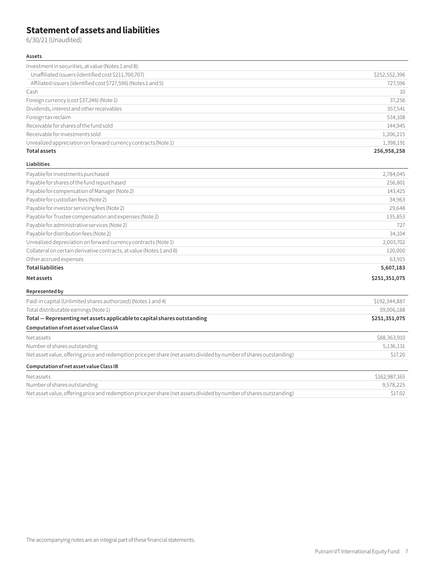## **Statement of assets and liabilities**

6/30/21 (Unaudited)

#### **Assets**

| Investment in securities, at value (Notes 1 and 8):            |               |
|----------------------------------------------------------------|---------------|
| Unaffiliated issuers (identified cost \$211,700,707)           | \$252,552,396 |
| Affiliated issuers (identified cost \$727,596) (Notes 1 and 5) | 727,596       |
| Cash                                                           | 10            |
| Foreign currency (cost \$37,246) (Note 1)                      | 37,256        |
| Dividends, interest and other receivables                      | 357,541       |
| Foreign tax reclaim                                            | 534,108       |
| Receivable for shares of the fund sold                         | 144,945       |
| Receivable for investments sold                                | 1,206,215     |
| Unrealized appreciation on forward currency contracts (Note 1) | 1,398,191     |
| <b>Total assets</b>                                            | 256,958,258   |
| Liabilities                                                    |               |
| Payable for investments purchased                              | 2,784,045     |
| December 2000 and compared the Company of the company of the   |               |

| Net assets                                                           | \$251,351,075 |
|----------------------------------------------------------------------|---------------|
| <b>Total liabilities</b>                                             | 5,607,183     |
| Other accrued expenses                                               | 63,915        |
| Collateral on certain derivative contracts, at value (Notes 1 and 8) | 120,000       |
| Unrealized depreciation on forward currency contracts (Note 1)       | 2,003,702     |
| Payable for distribution fees (Note 2)                               | 34,104        |
| Payable for administrative services (Note 2)                         | 727           |
| Payable for Trustee compensation and expenses (Note 2)               | 135,853       |
| Payable for investor servicing fees (Note 2)                         | 29,648        |
| Payable for custodian fees (Note 2)                                  | 34,963        |
| Payable for compensation of Manager (Note 2)                         | 143,425       |
| Payable for shares of the fund repurchased                           | 256,801       |

#### **Represented by** Paid-in capital (Unlimited shares authorized) (Notes 1 and 4) \$192,344,887 Total distributable earnings (Note 1) 59,006,188 **Total — Representing net assets applicable to capital shares outstanding \$251,351,075 Computation of net asset value Class IA** Net assets \$88,363,910  $\searrow$  \$88,363,910 Number of shares outstanding 5,136,131 Net asset value, offering price and redemption price per share (net assets divided by number of shares outstanding) \$17.20 **Computation of net asset value Class IB** Net assets \$162,987,165 Number of shares outstanding 8,578,225 Net asset value, offering price and redemption price per share (net assets divided by number of shares outstanding) \$17.02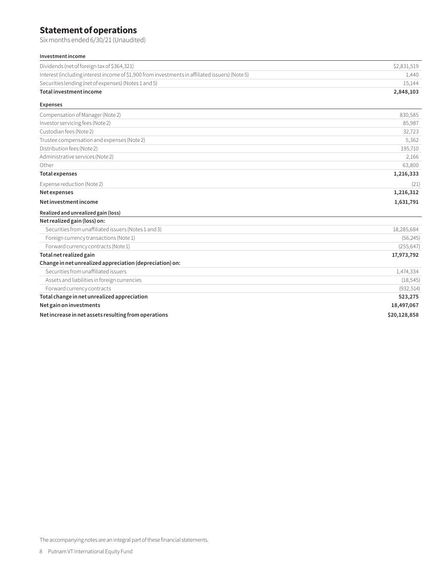# **Statement of operations**

Six months ended 6/30/21 (Unaudited)

#### **Investment income**

| Dividends (net of foreign tax of \$364,321)                                                     | \$2,831,519 |
|-------------------------------------------------------------------------------------------------|-------------|
| Interest (including interest income of \$1,900 from investments in affiliated issuers) (Note 5) | 1,440       |
| Securities lending (net of expenses) (Notes 1 and 5)                                            | 15,144      |
| Total investment income                                                                         | 2,848,103   |
| <b>Expenses</b>                                                                                 |             |
| Compensation of Manager (Note 2)                                                                | 830,585     |
| Investor servicing fees (Note 2)                                                                | 85,987      |
| Custodian fees (Note 2)                                                                         | 32,723      |
| Trustee compensation and expenses (Note 2)                                                      | 5,362       |
| Distribution fees (Note 2)                                                                      | 195,710     |

| Net expenses                     | 1,216,312 |
|----------------------------------|-----------|
| Expense reduction (Note 2)       | (21)      |
| Total expenses                   | 1,216,333 |
| Other                            | 63,800    |
| Administrative services (Note 2) | 2,166     |

#### **Net investment income 1,631,791**

#### **Realized and unrealized gain (loss) Net realized gain (loss) on:**

| Securities from unaffiliated issuers (Notes 1 and 3)     | 18,285,684   |
|----------------------------------------------------------|--------------|
| Foreign currency transactions (Note 1)                   | (56, 245)    |
| Forward currency contracts (Note 1)                      | (255, 647)   |
| Total net realized gain                                  | 17,973,792   |
| Change in net unrealized appreciation (depreciation) on: |              |
| Securities from unaffiliated issuers                     | 1,474,334    |
| Assets and liabilities in foreign currencies             | (18, 545)    |
| Forward currency contracts                               | (932, 514)   |
| Total change in net unrealized appreciation              | 523,275      |
| Net gain on investments                                  | 18,497,067   |
| Net increase in net assets resulting from operations     | \$20,128,858 |

The accompanying notes are an integral part of these financial statements.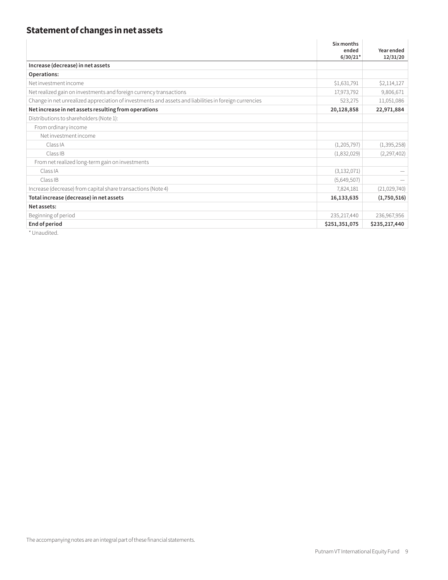# **Statement of changes in net assets**

|                                                                                                       | Six months<br>ended<br>$6/30/21*$ | Year ended<br>12/31/20 |
|-------------------------------------------------------------------------------------------------------|-----------------------------------|------------------------|
| Increase (decrease) in net assets                                                                     |                                   |                        |
| Operations:                                                                                           |                                   |                        |
| Net investment income                                                                                 | \$1,631,791                       | \$2,114,127            |
| Net realized gain on investments and foreign currency transactions                                    | 17,973,792                        | 9,806,671              |
| Change in net unrealized appreciation of investments and assets and liabilities in foreign currencies | 523,275                           | 11,051,086             |
| Net increase in net assets resulting from operations                                                  | 20,128,858                        | 22,971,884             |
| Distributions to shareholders (Note 1):                                                               |                                   |                        |
| From ordinary income                                                                                  |                                   |                        |
| Net investment income                                                                                 |                                   |                        |
| Class IA                                                                                              | (1,205,797)                       | (1, 395, 258)          |
| Class IB                                                                                              | (1,832,029)                       | (2, 297, 402)          |
| From net realized long-term gain on investments                                                       |                                   |                        |
| Class IA                                                                                              | (3, 132, 071)                     |                        |
| Class IB                                                                                              | (5,649,507)                       |                        |
| Increase (decrease) from capital share transactions (Note 4)                                          | 7,824,181                         | (21,029,740)           |
| Total increase (decrease) in net assets                                                               | 16,133,635                        | (1,750,516)            |
| Net assets:                                                                                           |                                   |                        |
| Beginning of period                                                                                   | 235,217,440                       | 236,967,956            |
| End of period                                                                                         | \$251,351,075                     | \$235,217,440          |

\* Unaudited.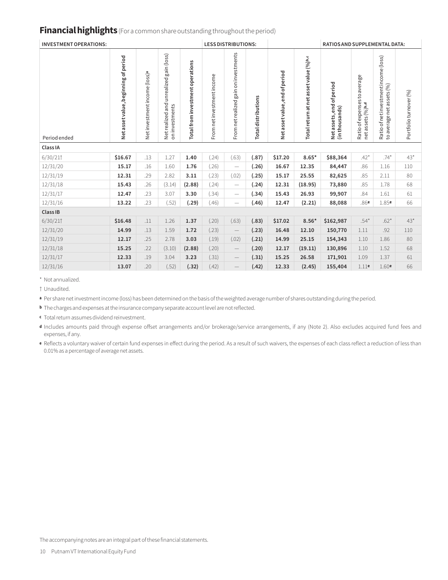## **Financial highlights** (For a common share outstanding throughout the period)

| <b>INVESTMENT OPERATIONS:</b> |                                      |                                           |                                                                   | <b>LESS DISTRIBUTIONS:</b>       |                            | RATIOS AND SUPPLEMENTAL DATA:         |                            |                               |                                        |                                            |                                                  |                                                                    |                        |
|-------------------------------|--------------------------------------|-------------------------------------------|-------------------------------------------------------------------|----------------------------------|----------------------------|---------------------------------------|----------------------------|-------------------------------|----------------------------------------|--------------------------------------------|--------------------------------------------------|--------------------------------------------------------------------|------------------------|
| Period ended                  | Net asset value, beginning of period | Net investment income (loss) <sup>a</sup> | gain (loss)<br>unrealized<br>and<br>on investments<br>Netrealized | Total from investment operations | From net investment income | From net realized gain on investments | <b>Total distributions</b> | Netasset value, end of period | Total return at net asset value (%)b,c | Netassets, end of period<br>(in thousands) | Ratio of expenses to average<br>netassets (%)b,d | Ratio of net investment income (loss)<br>to average net assets (%) | Portfolio turnover (%) |
| Class IA                      |                                      |                                           |                                                                   |                                  |                            |                                       |                            |                               |                                        |                                            |                                                  |                                                                    |                        |
| 6/30/21                       | \$16.67                              | .13                                       | 1.27                                                              | 1.40                             | (.24)                      | (.63)                                 | (.87)                      | \$17.20                       | $8.65*$                                | \$88,364                                   | $.42*$                                           | $.74*$                                                             | $43*$                  |
| 12/31/20                      | 15.17                                | .16                                       | 1.60                                                              | 1.76                             | (.26)                      | $\qquad \qquad -$                     | (.26)                      | 16.67                         | 12.35                                  | 84,447                                     | .86                                              | 1.16                                                               | 110                    |
| 12/31/19                      | 12.31                                | .29                                       | 2.82                                                              | 3.11                             | (.23)                      | (.02)                                 | (.25)                      | 15.17                         | 25.55                                  | 82,625                                     | .85                                              | 2.11                                                               | 80                     |
| 12/31/18                      | 15.43                                | .26                                       | (3.14)                                                            | (2.88)                           | (.24)                      | $\qquad \qquad -$                     | (.24)                      | 12.31                         | (18.95)                                | 73,880                                     | .85                                              | 1.78                                                               | 68                     |
| 12/31/17                      | 12.47                                | .23                                       | 3.07                                                              | 3.30                             | (.34)                      | $\overline{\phantom{m}}$              | (.34)                      | 15.43                         | 26.93                                  | 99,907                                     | .84                                              | 1.61                                                               | 61                     |
| 12/31/16                      | 13.22                                | .23                                       | (.52)                                                             | (.29)                            | (.46)                      | $\qquad \qquad -$                     | (.46)                      | 12.47                         | (2.21)                                 | 88,088                                     | .86e                                             | 1.85e                                                              | 66                     |
| Class IB                      |                                      |                                           |                                                                   |                                  |                            |                                       |                            |                               |                                        |                                            |                                                  |                                                                    |                        |
| 6/30/21                       | \$16.48                              | .11                                       | 1.26                                                              | 1.37                             | (.20)                      | (.63)                                 | (.83)                      | \$17.02                       | $8.56*$                                | \$162,987                                  | $.54*$                                           | $.62*$                                                             | $43*$                  |
| 12/31/20                      | 14.99                                | .13                                       | 1.59                                                              | 1.72                             | (.23)                      | $\overline{\phantom{m}}$              | (.23)                      | 16.48                         | 12.10                                  | 150,770                                    | 1.11                                             | .92                                                                | 110                    |
| 12/31/19                      | 12.17                                | .25                                       | 2.78                                                              | 3.03                             | (.19)                      | (.02)                                 | (.21)                      | 14.99                         | 25.15                                  | 154,343                                    | 1.10                                             | 1.86                                                               | 80                     |
| 12/31/18                      | 15.25                                | .22                                       | (3.10)                                                            | (2.88)                           | (.20)                      | $\overline{\phantom{m}}$              | (.20)                      | 12.17                         | (19.11)                                | 130,896                                    | 1.10                                             | 1.52                                                               | 68                     |
| 12/31/17                      | 12.33                                | .19                                       | 3.04                                                              | 3.23                             | (.31)                      | $\overline{\phantom{m}}$              | (.31)                      | 15.25                         | 26.58                                  | 171,901                                    | 1.09                                             | 1.37                                                               | 61                     |
| 12/31/16                      | 13.07                                | .20                                       | (.52)                                                             | (.32)                            | (.42)                      | $\overline{\phantom{0}}$              | (.42)                      | 12.33                         | (2.45)                                 | 155,404                                    | 1.11e                                            | 1.60 <sup>e</sup>                                                  | 66                     |

\* Not annualized.

† Unaudited.

**<sup>a</sup>** Per share net investment income (loss) has been determined on the basis of the weighted average number of shares outstanding during the period.

**<sup>b</sup>** The charges and expenses at the insurance company separate account level are not reflected.

**<sup>c</sup>** Total return assumes dividend reinvestment.

**<sup>d</sup>** Includes amounts paid through expense offset arrangements and/or brokerage/service arrangements, if any (Note 2). Also excludes acquired fund fees and expenses, if any.

**<sup>e</sup>** Reflects a voluntary waiver of certain fund expenses in effect during the period. As a result of such waivers, the expenses of each class reflect a reduction of less than 0.01% as a percentage of average net assets.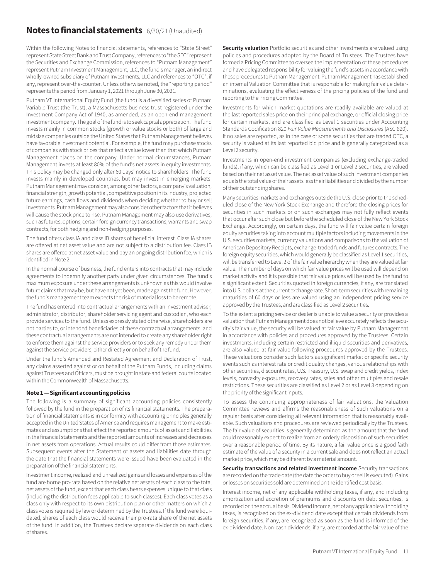# **Notes to financial statements** 6/30/21 (Unaudited)

Within the following Notes to financial statements, references to "State Street" represent State Street Bank and Trust Company, references to "the SEC" represent the Securities and Exchange Commission, references to "Putnam Management" represent Putnam Investment Management, LLC, the fund's manager, an indirect wholly-owned subsidiary of Putnam Investments, LLC and references to "OTC", if any, represent over-the-counter. Unless otherwise noted, the "reporting period" represents the period from January 1, 2021 through June 30, 2021.

Putnam VT International Equity Fund (the fund) is a diversified series of Putnam Variable Trust (the Trust), a Massachusetts business trust registered under the Investment Company Act of 1940, as amended, as an open-end management investment company. The goal of the fund is to seek capital appreciation. The fund invests mainly in common stocks (growth or value stocks or both) of large and midsize companies outside the United States that Putnam Management believes have favorable investment potential. For example, the fund may purchase stocks of companies with stock prices that reflect a value lower than that which Putnam Management places on the company. Under normal circumstances, Putnam Management invests at least 80% of the fund's net assets in equity investments. This policy may be changed only after 60 days' notice to shareholders. The fund invests mainly in developed countries, but may invest in emerging markets. Putnam Management may consider, among other factors, a company's valuation, financial strength, growth potential, competitive position in its industry, projected future earnings, cash flows and dividends when deciding whether to buy or sell investments. Putnam Management may also consider other factors that it believes will cause the stock price to rise. Putnam Management may also use derivatives, such as futures, options, certain foreign currency transactions, warrants and swap contracts, for both hedging and non-hedging purposes.

The fund offers class IA and class IB shares of beneficial interest. Class IA shares are offered at net asset value and are not subject to a distribution fee. Class IB shares are offered at net asset value and pay an ongoing distribution fee, which is identified in Note 2.

In the normal course of business, the fund enters into contracts that may include agreements to indemnify another party under given circumstances. The fund's maximum exposure under these arrangements is unknown as this would involve future claims that may be, but have not yet been, made against the fund. However, the fund's management team expects the risk of material loss to be remote.

The fund has entered into contractual arrangements with an investment adviser, administrator, distributor, shareholder servicing agent and custodian, who each provide services to the fund. Unless expressly stated otherwise, shareholders are not parties to, or intended beneficiaries of these contractual arrangements, and these contractual arrangements are not intended to create any shareholder right to enforce them against the service providers or to seek any remedy under them against the service providers, either directly or on behalf of the fund.

Under the fund's Amended and Restated Agreement and Declaration of Trust, any claims asserted against or on behalf of the Putnam Funds, including claims against Trustees and Officers, must be brought in state and federal courts located within the Commonwealth of Massachusetts.

#### **Note 1 — Significant accounting policies**

The following is a summary of significant accounting policies consistently followed by the fund in the preparation of its financial statements. The preparation of financial statements is in conformity with accounting principles generally accepted in the United States of America and requires management to make estimates and assumptions that affect the reported amounts of assets and liabilities in the financial statements and the reported amounts of increases and decreases in net assets from operations. Actual results could differ from those estimates. Subsequent events after the Statement of assets and liabilities date through the date that the financial statements were issued have been evaluated in the preparation of the financial statements.

Investment income, realized and unrealized gains and losses and expenses of the fund are borne pro-rata based on the relative net assets of each class to the total net assets of the fund, except that each class bears expenses unique to that class (including the distribution fees applicable to such classes). Each class votes as a class only with respect to its own distribution plan or other matters on which a class vote is required by law or determined by the Trustees. If the fund were liquidated, shares of each class would receive their pro-rata share of the net assets of the fund. In addition, the Trustees declare separate dividends on each class of shares.

**Security valuation** Portfolio securities and other investments are valued using policies and procedures adopted by the Board of Trustees. The Trustees have formed a Pricing Committee to oversee the implementation of these procedures and have delegated responsibility for valuing the fund's assets in accordance with these procedures to Putnam Management. Putnam Management has established an internal Valuation Committee that is responsible for making fair value determinations, evaluating the effectiveness of the pricing policies of the fund and reporting to the Pricing Committee.

Investments for which market quotations are readily available are valued at the last reported sales price on their principal exchange, or official closing price for certain markets, and are classified as Level 1 securities under Accounting Standards Codification 820 *Fair Value Measurements and Disclosures* (ASC 820). If no sales are reported, as in the case of some securities that are traded OTC, a security is valued at its last reported bid price and is generally categorized as a Level 2 security.

Investments in open-end investment companies (excluding exchange-traded funds), if any, which can be classified as Level 1 or Level 2 securities, are valued based on their net asset value. The net asset value of such investment companies equals the total value of their assets less their liabilities and divided by the number of their outstanding shares.

Many securities markets and exchanges outside the U.S. close prior to the scheduled close of the New York Stock Exchange and therefore the closing prices for securities in such markets or on such exchanges may not fully reflect events that occur after such close but before the scheduled close of the New York Stock Exchange. Accordingly, on certain days, the fund will fair value certain foreign equity securities taking into account multiple factors including movements in the U.S. securities markets, currency valuations and comparisons to the valuation of American Depository Receipts, exchange-traded funds and futures contracts. The foreign equity securities, which would generally be classified as Level 1 securities, will be transferred to Level 2 of the fair value hierarchy when they are valued at fair value. The number of days on which fair value prices will be used will depend on market activity and it is possible that fair value prices will be used by the fund to a significant extent. Securities quoted in foreign currencies, if any, are translated into U.S. dollars at the current exchange rate. Short-term securities with remaining maturities of 60 days or less are valued using an independent pricing service approved by the Trustees, and are classified as Level 2 securities.

To the extent a pricing service or dealer is unable to value a security or provides a valuation that Putnam Management does not believe accurately reflects the security's fair value, the security will be valued at fair value by Putnam Management in accordance with policies and procedures approved by the Trustees. Certain investments, including certain restricted and illiquid securities and derivatives, are also valued at fair value following procedures approved by the Trustees. These valuations consider such factors as significant market or specific security events such as interest rate or credit quality changes, various relationships with other securities, discount rates, U.S. Treasury, U.S. swap and credit yields, index levels, convexity exposures, recovery rates, sales and other multiples and resale restrictions. These securities are classified as Level 2 or as Level 3 depending on the priority of the significant inputs.

To assess the continuing appropriateness of fair valuations, the Valuation Committee reviews and affirms the reasonableness of such valuations on a regular basis after considering all relevant information that is reasonably available. Such valuations and procedures are reviewed periodically by the Trustees. The fair value of securities is generally determined as the amount that the fund could reasonably expect to realize from an orderly disposition of such securities over a reasonable period of time. By its nature, a fair value price is a good faith estimate of the value of a security in a current sale and does not reflect an actual market price, which may be different by a material amount.

**Security transactions and related investment income** Security transactions are recorded on the trade date (the date the order to buy or sell is executed). Gains or losses on securities sold are determined on the identified cost basis.

Interest income, net of any applicable withholding taxes, if any, and including amortization and accretion of premiums and discounts on debt securities, is recorded on the accrual basis. Dividend income, net of any applicable withholding taxes, is recognized on the ex-dividend date except that certain dividends from foreign securities, if any, are recognized as soon as the fund is informed of the ex-dividend date. Non-cash dividends, if any, are recorded at the fair value of the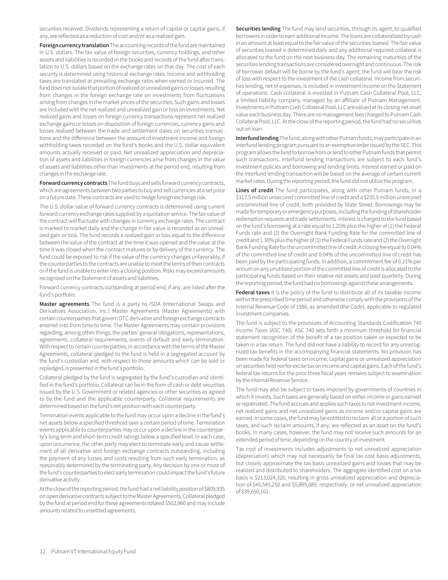securities received. Dividends representing a return of capital or capital gains, if any, are reflected as a reduction of cost and/or as a realized gain.

**Foreign currency translation** The accounting records of the fund are maintained in U.S. dollars. The fair value of foreign securities, currency holdings, and other assets and liabilities is recorded in the books and records of the fund after translation to U.S. dollars based on the exchange rates on that day. The cost of each security is determined using historical exchange rates. Income and withholding taxes are translated at prevailing exchange rates when earned or incurred. The fund does not isolate that portion of realized or unrealized gains or losses resulting from changes in the foreign exchange rate on investments from fluctuations arising from changes in the market prices of the securities. Such gains and losses are included with the net realized and unrealized gain or loss on investments. Net realized gains and losses on foreign currency transactions represent net realized exchange gains or losses on disposition of foreign currencies, currency gains and losses realized between the trade and settlement dates on securities transactions and the difference between the amount of investment income and foreign withholding taxes recorded on the fund's books and the U.S. dollar equivalent amounts actually received or paid. Net unrealized appreciation and depreciation of assets and liabilities in foreign currencies arise from changes in the value of assets and liabilities other than investments at the period end, resulting from changes in the exchange rate.

**Forward currency contracts** The fund buys and sells forward currency contracts, which are agreements between two parties to buy and sell currencies at a set price on a future date. These contracts are used to hedge foreign exchange risk.

The U.S. dollar value of forward currency contracts is determined using current forward currency exchange rates supplied by a quotation service. The fair value of the contract will fluctuate with changes in currency exchange rates. The contract is marked to market daily and the change in fair value is recorded as an unrealized gain or loss. The fund records a realized gain or loss equal to the difference between the value of the contract at the time it was opened and the value at the time it was closed when the contract matures or by delivery of the currency. The fund could be exposed to risk if the value of the currency changes unfavorably, if the counterparties to the contracts are unable to meet the terms of their contracts or if the fund is unable to enter into a closing position. Risks may exceed amounts recognized on the Statement of assets and liabilities.

Forward currency contracts outstanding at period end, if any, are listed after the fund's portfolio.

**Master agreements** The fund is a party to ISDA (International Swaps and Derivatives Association, Inc.) Master Agreements (Master Agreements) with certain counterparties that govern OTC derivative and foreign exchange contracts entered into from time to time. The Master Agreements may contain provisions regarding, among other things, the parties' general obligations, representations, agreements, collateral requirements, events of default and early termination. With respect to certain counterparties, in accordance with the terms of the Master Agreements, collateral pledged to the fund is held in a segregated account by the fund's custodian and, with respect to those amounts which can be sold or repledged, is presented in the fund's portfolio.

Collateral pledged by the fund is segregated by the fund's custodian and identified in the fund's portfolio. Collateral can be in the form of cash or debt securities issued by the U.S. Government or related agencies or other securities as agreed to by the fund and the applicable counterparty. Collateral requirements are determined based on the fund's net position with each counterparty.

Termination events applicable to the fund may occur upon a decline in the fund's net assets below a specified threshold over a certain period of time. Termination events applicable to counterparties may occur upon a decline in the counterparty's long-term and short-term credit ratings below a specified level. In each case, upon occurrence, the other party may elect to terminate early and cause settlement of all derivative and foreign exchange contracts outstanding, including the payment of any losses and costs resulting from such early termination, as reasonably determined by the terminating party. Any decision by one or more of the fund's counterparties to elect early termination could impact the fund's future derivative activity.

At the close of the reporting period, the fund had a net liability position of \$809,935 on open derivative contracts subject to the Master Agreements. Collateral pledged by the fund at period end for these agreements totaled \$502,960 and may include amounts related to unsettled agreements.

**Securities lending** The fund may lend securities, through its agent, to qualified borrowers in order to earn additional income. The loans are collateralized by cash in an amount at least equal to the fair value of the securities loaned. The fair value of securities loaned is determined daily and any additional required collateral is allocated to the fund on the next business day. The remaining maturities of the securities lending transactions are considered overnight and continuous. The risk of borrower default will be borne by the fund's agent; the fund will bear the risk of loss with respect to the investment of the cash collateral. Income from securities lending, net of expenses, is included in investment income on the Statement of operations. Cash collateral is invested in Putnam Cash Collateral Pool, LLC, a limited liability company managed by an affiliate of Putnam Management. Investments in Putnam Cash Collateral Pool, LLC are valued at its closing net asset value each business day. There are no management fees charged to Putnam Cash Collateral Pool, LLC. At the close of the reporting period, the fund had no securities out on loan.

**Interfund lending** The fund, along with other Putnam funds, may participate in an interfund lending program pursuant to an exemptive order issued by the SEC. This program allows the fund to borrow from or lend to other Putnam funds that permit such transactions. Interfund lending transactions are subject to each fund's investment policies and borrowing and lending limits. Interest earned or paid on the interfund lending transaction will be based on the average of certain current market rates. During the reporting period, the fund did not utilize the program.

**Lines of credit** The fund participates, along with other Putnam funds, in a \$317.5 million unsecured committed line of credit and a \$235.5 million unsecured uncommitted line of credit, both provided by State Street. Borrowings may be made for temporary or emergency purposes, including the funding of shareholder redemption requests and trade settlements. Interest is charged to the fund based on the fund's borrowing at a rate equal to 1.25% plus the higher of (1) the Federal Funds rate and (2) the Overnight Bank Funding Rate for the committed line of credit and 1.30% plus the higher of (1) the Federal Funds rate and (2) the Overnight Bank Funding Rate for the uncommitted line of credit. A closing fee equal to 0.04% of the committed line of credit and 0.04% of the uncommitted line of credit has been paid by the participating funds. In addition, a commitment fee of 0.21% per annum on any unutilized portion of the committed line of credit is allocated to the participating funds based on their relative net assets and paid quarterly. During the reporting period, the fund had no borrowings against these arrangements.

**Federal taxes** It is the policy of the fund to distribute all of its taxable income within the prescribed time period and otherwise comply with the provisions of the Internal Revenue Code of 1986, as amended (the Code), applicable to regulated investment companies.

The fund is subject to the provisions of Accounting Standards Codification 740 *Income Taxes* (ASC 740). ASC 740 sets forth a minimum threshold for financial statement recognition of the benefit of a tax position taken or expected to be taken in a tax return. The fund did not have a liability to record for any unrecognized tax benefits in the accompanying financial statements. No provision has been made for federal taxes on income, capital gains or unrealized appreciation on securities held nor for excise tax on income and capital gains. Each of the fund's federal tax returns for the prior three fiscal years remains subject to examination by the Internal Revenue Service.

The fund may also be subject to taxes imposed by governments of countries in which it invests. Such taxes are generally based on either income or gains earned or repatriated. The fund accrues and applies such taxes to net investment income, net realized gains and net unrealized gains as income and/or capital gains are earned. In some cases, the fund may be entitled to reclaim all or a portion of such taxes, and such reclaim amounts, if any, are reflected as an asset on the fund's books. In many cases, however, the fund may not receive such amounts for an extended period of time, depending on the country of investment.

Tax cost of investments includes adjustments to net unrealized appreciation (depreciation) which may not necessarily be final tax cost basis adjustments, but closely approximate the tax basis unrealized gains and losses that may be realized and distributed to shareholders. The aggregate identified cost on a tax basis is \$213,024,320, resulting in gross unrealized appreciation and depreciation of \$45,545,250 and \$5,895,089, respectively, or net unrealized appreciation of \$39,650,161.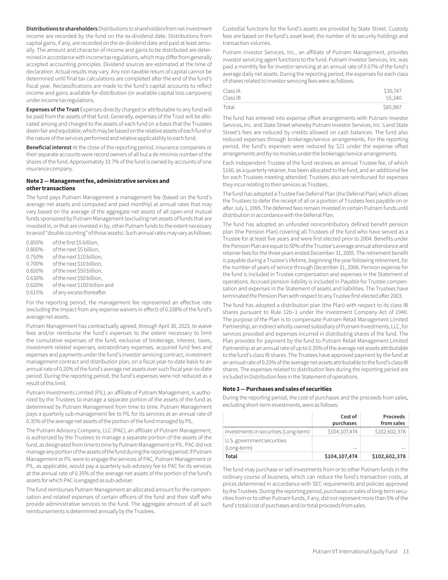**Distributions to shareholders** Distributions to shareholders from net investment income are recorded by the fund on the ex-dividend date. Distributions from capital gains, if any, are recorded on the ex-dividend date and paid at least annually. The amount and character of income and gains to be distributed are determined in accordance with income tax regulations, which may differ from generally accepted accounting principles. Dividend sources are estimated at the time of declaration. Actual results may vary. Any non-taxable return of capital cannot be determined until final tax calculations are completed after the end of the fund's fiscal year. Reclassifications are made to the fund's capital accounts to reflect income and gains available for distribution (or available capital loss carryovers) under income tax regulations.

**Expenses of the Trust** Expenses directly charged or attributable to any fund will be paid from the assets of that fund. Generally, expenses of the Trust will be allocated among and charged to the assets of each fund on a basis that the Trustees deem fair and equitable, which may be based on the relative assets of each fund or the nature of the services performed and relative applicability to each fund.

**Beneficial interest** At the close of the reporting period, insurance companies or their separate accounts were record owners of all but a de minimis number of the shares of the fund. Approximately 33.7% of the fund is owned by accounts of one insurance company.

#### **Note 2 — Management fee, administrative services and other transactions**

The fund pays Putnam Management a management fee (based on the fund's average net assets and computed and paid monthly) at annual rates that may vary based on the average of the aggregate net assets of all open-end mutual funds sponsored by Putnam Management (excluding net assets of funds that are invested in, or that are invested in by, other Putnam funds to the extent necessary to avoid "double counting" of those assets). Such annual rates may vary as follows:

0.850% of the first \$5 billion, 0.800% of the next \$5 billion, 0.750% of the next \$10 billion, 0.700% of the next \$10 billion, 0.650% of the next \$50 billion, 0.630% of the next \$50 billion, 0.620% of the next \$100 billion and 0.615% of any excess thereafter.

For the reporting period, the management fee represented an effective rate (excluding the impact from any expense waivers in effect) of 0.338% of the fund's average net assets.

Putnam Management has contractually agreed, through April 30, 2023, to waive fees and/or reimburse the fund's expenses to the extent necessary to limit the cumulative expenses of the fund, exclusive of brokerage, interest, taxes, investment-related expenses, extraordinary expenses, acquired fund fees and expenses and payments under the fund's investor servicing contract, investment management contract and distribution plan, on a fiscal year-to-date basis to an annual rate of 0.20% of the fund's average net assets over such fiscal year-to-date period. During the reporting period, the fund's expenses were not reduced as a result of this limit.

Putnam Investments Limited (PIL), an affiliate of Putnam Management, is authorized by the Trustees to manage a separate portion of the assets of the fund as determined by Putnam Management from time to time. Putnam Management pays a quarterly sub-management fee to PIL for its services at an annual rate of 0.35% of the average net assets of the portion of the fund managed by PIL.

The Putnam Advisory Company, LLC (PAC), an affiliate of Putnam Management, is authorized by the Trustees to manage a separate portion of the assets of the fund, as designated from time to time by Putnam Management or PIL. PAC did not manage any portion of the assets of the fund during the reporting period. If Putnam Management or PIL were to engage the services of PAC, Putnam Management or PIL, as applicable, would pay a quarterly sub-advisory fee to PAC for its services at the annual rate of 0.35% of the average net assets of the portion of the fund's assets for which PAC is engaged as sub-adviser.

The fund reimburses Putnam Management an allocated amount for the compensation and related expenses of certain officers of the fund and their staff who provide administrative services to the fund. The aggregate amount of all such reimbursements is determined annually by the Trustees.

Custodial functions for the fund's assets are provided by State Street. Custody fees are based on the fund's asset level, the number of its security holdings and transaction volumes.

Putnam Investor Services, Inc., an affiliate of Putnam Management, provides investor servicing agent functions to the fund. Putnam Investor Services, Inc. was paid a monthly fee for investor servicing at an annual rate of 0.07% of the fund's average daily net assets. During the reporting period, the expenses for each class of shares related to investor servicing fees were as follows:

| Class IA | \$30,747 |
|----------|----------|
| Class IB | 55.240   |
| Total    | \$85,987 |

The fund has entered into expense offset arrangements with Putnam Investor Services, Inc. and State Street whereby Putnam Investor Services, Inc.'s and State Street's fees are reduced by credits allowed on cash balances. The fund also reduced expenses through brokerage/service arrangements. For the reporting period, the fund's expenses were reduced by \$21 under the expense offset arrangements and by no monies under the brokerage/service arrangements.

Each Independent Trustee of the fund receives an annual Trustee fee, of which \$160, as a quarterly retainer, has been allocated to the fund, and an additional fee for each Trustees meeting attended. Trustees also are reimbursed for expenses they incur relating to their services as Trustees.

The fund has adopted a Trustee Fee Deferral Plan (the Deferral Plan) which allows the Trustees to defer the receipt of all or a portion of Trustees fees payable on or after July 1, 1995. The deferred fees remain invested in certain Putnam funds until distribution in accordance with the Deferral Plan.

The fund has adopted an unfunded noncontributory defined benefit pension plan (the Pension Plan) covering all Trustees of the fund who have served as a Trustee for at least five years and were first elected prior to 2004. Benefits under the Pension Plan are equal to 50% of the Trustee's average annual attendance and retainer fees for the three years ended December 31, 2005. The retirement benefit is payable during a Trustee's lifetime, beginning the year following retirement, for the number of years of service through December 31, 2006. Pension expense for the fund is included in Trustee compensation and expenses in the Statement of operations. Accrued pension liability is included in Payable for Trustee compensation and expenses in the Statement of assets and liabilities. The Trustees have terminated the Pension Plan with respect to any Trustee first elected after 2003.

The fund has adopted a distribution plan (the Plan) with respect to its class IB shares pursuant to Rule 12b–1 under the Investment Company Act of 1940. The purpose of the Plan is to compensate Putnam Retail Management Limited Partnership, an indirect wholly-owned subsidiary of Putnam Investments, LLC, for services provided and expenses incurred in distributing shares of the fund. The Plan provides for payment by the fund to Putnam Retail Management Limited Partnership at an annual rate of up to 0.35% of the average net assets attributable to the fund's class IB shares. The Trustees have approved payment by the fund at an annual rate of 0.25% of the average net assets attributable to the fund's class IB shares. The expenses related to distribution fees during the reporting period are included in Distribution fees in the Statement of operations.

#### **Note 3 — Purchases and sales of securities**

During the reporting period, the cost of purchases and the proceeds from sales, excluding short-term investments, were as follows:

|                                           | Cost of<br>purchases | Proceeds<br>from sales |
|-------------------------------------------|----------------------|------------------------|
| Investments in securities (Long-term)     | \$104,107,474        | \$102,602,378          |
| U.S. government securities<br>(Long-term) |                      |                        |
| Total                                     | \$104,107,474        | \$102,602,378          |

The fund may purchase or sell investments from or to other Putnam funds in the ordinary course of business, which can reduce the fund's transaction costs, at prices determined in accordance with SEC requirements and policies approved by the Trustees. During the reporting period, purchases or sales of long-term securities from or to other Putnam funds, if any, did not represent more than 5% of the fund's total cost of purchases and/or total proceeds from sales.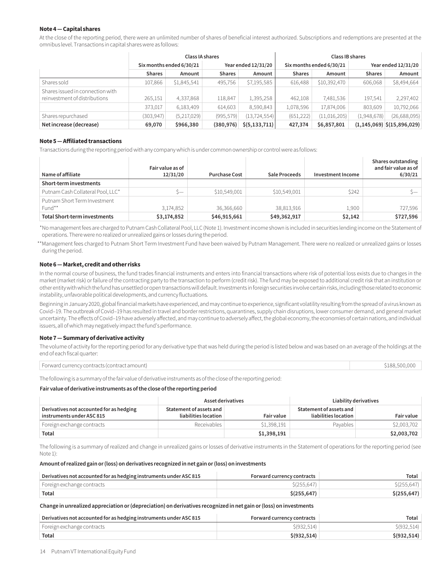#### **Note 4 — Capital shares**

At the close of the reporting period, there were an unlimited number of shares of beneficial interest authorized. Subscriptions and redemptions are presented at the omnibus level. Transactions in capital shares were as follows:

|                                                                   |                          | Class IA shares |                     |                | Class IB shares |                          |                     |                                |  |
|-------------------------------------------------------------------|--------------------------|-----------------|---------------------|----------------|-----------------|--------------------------|---------------------|--------------------------------|--|
|                                                                   | Six months ended 6/30/21 |                 | Year ended 12/31/20 |                |                 | Six months ended 6/30/21 | Year ended 12/31/20 |                                |  |
|                                                                   | <b>Shares</b>            | Amount          | <b>Shares</b>       | Amount         | <b>Shares</b>   | Amount                   | <b>Shares</b>       | Amount                         |  |
| Shares sold                                                       | 107,866                  | \$1,845,541     | 495,756             | \$7,195,585    | 616,488         | \$10,392,470             | 606,068             | \$8,494,664                    |  |
| Shares issued in connection with<br>reinvestment of distributions | 265,151                  | 4,337,868       | 118,847             | 1,395,258      | 462.108         | 7,481,536                | 197,541             | 2,297,402                      |  |
|                                                                   | 373,017                  | 6,183,409       | 614,603             | 8,590,843      | 1,078,596       | 17,874,006               | 803,609             | 10,792,066                     |  |
| Shares repurchased                                                | (303, 947)               | (5,217,029)     | (995, 579)          | (13, 724, 554) | (651, 222)      | (11, 016, 205)           | (1,948,678)         | (26,688,095)                   |  |
| Net increase (decrease)                                           | 69,070                   | \$966,380       | (380, 976)          | \$(5,133,711)  | 427,374         | \$6,857,801              |                     | $(1, 145, 069)$ \$(15,896,029) |  |

#### **Note 5 — Affiliated transactions**

Transactions during the reporting period with any company which is under common ownership or control were as follows:

| Name of affiliate                      | Fair value as of<br>12/31/20 | <b>Purchase Cost</b> | Sale Proceeds | Investment Income | Shares outstanding<br>and fair value as of<br>6/30/21 |
|----------------------------------------|------------------------------|----------------------|---------------|-------------------|-------------------------------------------------------|
| Short-term investments                 |                              |                      |               |                   |                                                       |
| Putnam Cash Collateral Pool, LLC*      | S—                           | \$10,549,001         | \$10,549,001  | \$242             | $S-$                                                  |
| Putnam Short Term Investment<br>Fund** | 3,174,852                    | 36.366.660           | 38.813.916    | 1,900             | 727.596                                               |
| Total Short-term investments           | \$3,174,852                  | \$46,915,661         | \$49,362,917  | \$2,142           | \$727,596                                             |

\*No management fees are charged to Putnam Cash Collateral Pool, LLC (Note 1). Investment income shown is included in securities lending income on the Statement of operations. There were no realized or unrealized gains or losses during the period.

\*\*Management fees charged to Putnam Short Term Investment Fund have been waived by Putnam Management. There were no realized or unrealized gains or losses during the period.

#### **Note 6 — Market, credit and other risks**

In the normal course of business, the fund trades financial instruments and enters into financial transactions where risk of potential loss exists due to changes in the market (market risk) or failure of the contracting party to the transaction to perform (credit risk). The fund may be exposed to additional credit risk that an institution or other entity with which the fund has unsettled or open transactions will default. Investments in foreign securities involve certain risks, including those related to economic instability, unfavorable political developments, and currency fluctuations.

Beginning in January 2020, global financial markets have experienced, and may continue to experience, significant volatility resulting from the spread of a virus known as Covid–19. The outbreak of Covid–19 has resulted in travel and border restrictions, quarantines, supply chain disruptions, lower consumer demand, and general market uncertainty. The effects of Covid–19 have adversely affected, and may continue to adversely affect, the global economy, the economies of certain nations, and individual issuers, all of which may negatively impact the fund's performance.

#### **Note 7 — Summary of derivative activity**

The volume of activity for the reporting period for any derivative type that was held during the period is listed below and was based on an average of the holdings at the end of each fiscal quarter:

| Forward currency contracts (contract amount) | \$188,500,000 |
|----------------------------------------------|---------------|
|                                              |               |

The following is a summary of the fair value of derivative instruments as of the close of the reporting period:

#### **Fair value of derivative instruments as of the close of the reporting period**

|                                                                       | Asset derivatives                               |                   | Liability derivatives                           |                   |  |
|-----------------------------------------------------------------------|-------------------------------------------------|-------------------|-------------------------------------------------|-------------------|--|
| Derivatives not accounted for as hedging<br>instruments under ASC 815 | Statement of assets and<br>liabilities location | <b>Fair value</b> | Statement of assets and<br>liabilities location | <b>Fair value</b> |  |
| Foreign exchange contracts                                            | Receivables                                     | \$1,398,191       | Pavables                                        | \$2,003,702       |  |
| Total                                                                 |                                                 | \$1,398,191       |                                                 | \$2,003,702       |  |

The following is a summary of realized and change in unrealized gains or losses of derivative instruments in the Statement of operations for the reporting period (see Note 1):

#### **Amount of realized gain or (loss) on derivatives recognized in net gain or (loss) on investments**

| Derivatives not accounted for as hedging instruments under ASC 815 | Forward currency contracts | Total                  |
|--------------------------------------------------------------------|----------------------------|------------------------|
| Foreign exchange contracts                                         | \$(255, 647)               | $\frac{\S(255,647)}{}$ |
| Total                                                              | \$(255, 647)               | \$(255, 647)           |

**Change in unrealized appreciation or (depreciation) on derivatives recognized in net gain or (loss) on investments**

| Derivatives not accounted for as hedging instruments under ASC 815 | Forward currency contracts | Total         |
|--------------------------------------------------------------------|----------------------------|---------------|
| Foreign exchange contracts                                         | \$ (932, 514)              | \$ (932, 514) |
| Total                                                              | \$ (932, 514)              | \$ (932, 514) |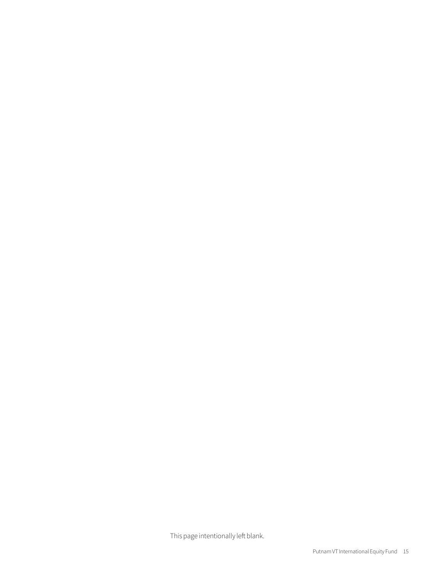This page intentionally left blank.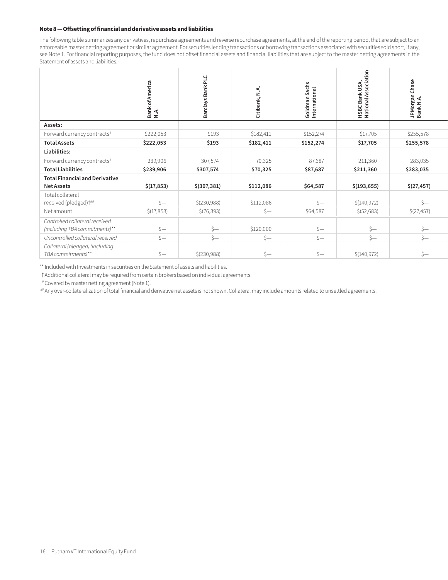#### **Note 8 — Offsetting of financial and derivative assets and liabilities**

The following table summarizes any derivatives, repurchase agreements and reverse repurchase agreements, at the end of the reporting period, that are subject to an enforceable master netting agreement or similar agreement. For securities lending transactions or borrowing transactions associated with securities sold short, if any, see Note 1. For financial reporting purposes, the fund does not offset financial assets and financial liabilities that are subject to the master netting agreements in the Statement of assets and liabilities.

|                                         | Bank<br>N.A. |              |           | ഗ         | ٩<br>HSBC Bank USA,<br>National Associat | Ğ<br>JPMorgan (<br>Bank N.A. |
|-----------------------------------------|--------------|--------------|-----------|-----------|------------------------------------------|------------------------------|
|                                         |              |              | 汚         | 호 호       |                                          |                              |
| Assets:                                 |              |              |           |           |                                          |                              |
| Forward currency contracts#             | \$222,053    | \$193        | \$182,411 | \$152,274 | \$17,705                                 | \$255,578                    |
| <b>Total Assets</b>                     | \$222,053    | \$193        | \$182,411 | \$152,274 | \$17,705                                 | \$255,578                    |
| Liabilities:                            |              |              |           |           |                                          |                              |
| Forward currency contracts <sup>#</sup> | 239,906      | 307,574      | 70,325    | 87,687    | 211,360                                  | 283,035                      |
| <b>Total Liabilities</b>                | \$239,906    | \$307,574    | \$70,325  | \$87,687  | \$211,360                                | \$283,035                    |
| <b>Total Financial and Derivative</b>   |              |              |           |           |                                          |                              |
| <b>Net Assets</b>                       | \$(17, 853)  | \$(307, 381) | \$112,086 | \$64,587  | \$(193, 655)                             | \$(27, 457)                  |
| Total collateral                        |              |              |           |           |                                          |                              |
| received (pledged) <sup>†##</sup>       | $\zeta$ —    | \$(230,988)  | \$112,086 | $S-$      | \$(140,972)                              | $S-$                         |
| Net amount                              | \$(17,853)   | \$(76, 393)  | $S-$      | \$64,587  | \$ (52, 683)                             | \$(27, 457)                  |
| Controlled collateral received          |              |              |           |           |                                          |                              |
| (including TBA commitments)**           | $S-$         | $\zeta$ —    | \$120,000 | $\zeta$ — | $S-$                                     | $s-$                         |
| Uncontrolled collateral received        | $\zeta$ —    | $\zeta$ —    | $s-$      | $\zeta$ — | $S-$                                     | $s-$                         |
| Collateral (pledged) (including         |              |              |           |           |                                          |                              |
| TBA commitments)**                      | $\zeta$ —    | \$(230,988)  | $S-$      | $\zeta$ — | \$(140,972)                              | $s-$                         |

\*\* Included with Investments in securities on the Statement of assets and liabilities.

†Additional collateral may be required from certain brokers based on individual agreements.

#Covered by master netting agreement (Note 1).

##Any over-collateralization of total financial and derivative net assets is not shown. Collateral may include amounts related to unsettled agreements.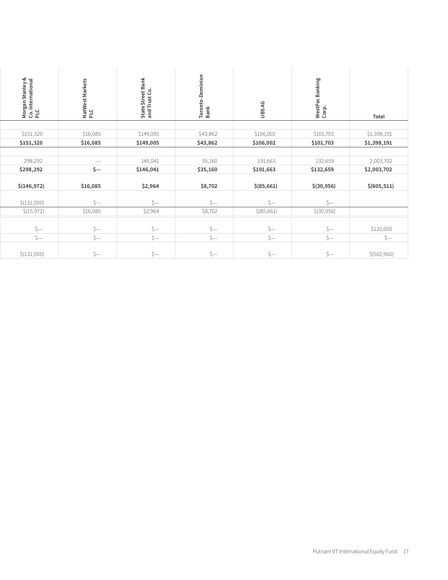| Morgan Stanley &<br>Co. International<br>PLC | NatV<br>PLC | ≚<br>≃<br>State Street B<br>and Trust Co. | Toron<br>Bank | $\sqrt{2}$<br>$\mathbf{m}$<br>$\Box$ | hn<br>West<br>Corp. | Total         |
|----------------------------------------------|-------------|-------------------------------------------|---------------|--------------------------------------|---------------------|---------------|
|                                              |             |                                           |               |                                      |                     |               |
| \$151,320                                    | \$16,085    | \$149,005                                 | \$43,862      | \$106,002                            | \$101,703           | \$1,398,191   |
| \$151,320                                    | \$16,085    | \$149,005                                 | \$43,862      | \$106,002                            | \$101,703           | \$1,398,191   |
|                                              |             |                                           |               |                                      |                     |               |
| 298,292                                      | $\sim$      | 146,041                                   | 35,160        | 191,663                              | 132,659             | 2,003,702     |
| \$298,292                                    | $s-$        | \$146,041                                 | \$35,160      | \$191,663                            | \$132,659           | \$2,003,702   |
| \$(146, 972)                                 | \$16,085    | \$2,964                                   | \$8,702       | \$ (85, 661)                         | \$(30,956)          | \$ (605, 511) |
| \$(131,000)                                  | $S-$        | $S-$                                      | $S-$          | $\zeta-$                             | $S-$                |               |
| \$(15,972)                                   | \$16,085    | \$2,964                                   | \$8,702       | \$ (85,661)                          | \$ (30,956)         |               |
|                                              |             |                                           |               |                                      |                     |               |
| $\zeta-$                                     | $S-$        | $S-$                                      | $S-$          | $S-$                                 | $S-$                | \$120,000     |
| $\zeta-$                                     | $S-$        | $\zeta-$                                  | $S-$          | $\zeta$ —                            | $\zeta-$            | $S-$          |
| \$(131,000)                                  | $S-$        | $\zeta-$                                  | $S-$          | $\zeta$ —                            | $S-$                | \$ (502, 960) |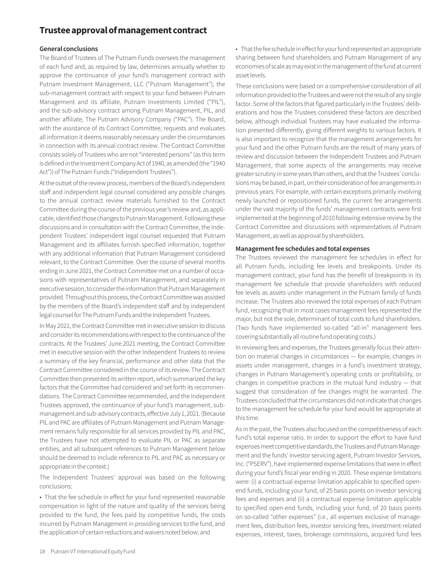# **Trustee approval of management contract**

#### **General conclusions**

The Board of Trustees of The Putnam Funds oversees the management of each fund and, as required by law, determines annually whether to approve the continuance of your fund's management contract with Putnam Investment Management, LLC ("Putnam Management"), the sub-management contract with respect to your fund between Putnam Management and its affiliate, Putnam Investments Limited ("PIL"), and the sub-advisory contract among Putnam Management, PIL, and another affiliate, The Putnam Advisory Company ("PAC"). The Board, with the assistance of its Contract Committee, requests and evaluates all information it deems reasonably necessary under the circumstances in connection with its annual contract review. The Contract Committee consists solely of Trustees who are not "interested persons" (as this term is defined in the Investment Company Act of 1940, as amended (the "1940 Act")) of The Putnam Funds ("Independent Trustees").

At the outset of the review process, members of the Board's independent staff and independent legal counsel considered any possible changes to the annual contract review materials furnished to the Contract Committee during the course of the previous year's review and, as applicable, identified those changes to Putnam Management. Following these discussions and in consultation with the Contract Committee, the Independent Trustees' independent legal counsel requested that Putnam Management and its affiliates furnish specified information, together with any additional information that Putnam Management considered relevant, to the Contract Committee. Over the course of several months ending in June 2021, the Contract Committee met on a number of occasions with representatives of Putnam Management, and separately in executive session, to consider the information that Putnam Management provided. Throughout this process, the Contract Committee was assisted by the members of the Board's independent staff and by independent legal counsel for The Putnam Funds and the Independent Trustees.

In May 2021, the Contract Committee met in executive session to discuss and consider its recommendations with respect to the continuance of the contracts. At the Trustees' June 2021 meeting, the Contract Committee met in executive session with the other Independent Trustees to review a summary of the key financial, performance and other data that the Contract Committee considered in the course of its review. The Contract Committee then presented its written report, which summarized the key factors that the Committee had considered and set forth its recommendations. The Contract Committee recommended, and the Independent Trustees approved, the continuance of your fund's management, submanagement and sub-advisory contracts, effective July 1, 2021. (Because PIL and PAC are affiliates of Putnam Management and Putnam Management remains fully responsible for all services provided by PIL and PAC, the Trustees have not attempted to evaluate PIL or PAC as separate entities, and all subsequent references to Putnam Management below should be deemed to include reference to PIL and PAC as necessary or appropriate in the context.)

The Independent Trustees' approval was based on the following conclusions:

• That the fee schedule in effect for your fund represented reasonable compensation in light of the nature and quality of the services being provided to the fund, the fees paid by competitive funds, the costs incurred by Putnam Management in providing services to the fund, and the application of certain reductions and waivers noted below; and

• That the fee schedule in effect for your fund represented an appropriate sharing between fund shareholders and Putnam Management of any economies of scale as may exist in the management of the fund at current asset levels.

These conclusions were based on a comprehensive consideration of all information provided to the Trustees and were not the result of any single factor. Some of the factors that figured particularly in the Trustees' deliberations and how the Trustees considered these factors are described below, although individual Trustees may have evaluated the information presented differently, giving different weights to various factors. It is also important to recognize that the management arrangements for your fund and the other Putnam funds are the result of many years of review and discussion between the Independent Trustees and Putnam Management, that some aspects of the arrangements may receive greater scrutiny in some years than others, and that the Trustees' conclusions may be based, in part, on their consideration of fee arrangements in previous years. For example, with certain exceptions primarily involving newly launched or repositioned funds, the current fee arrangements under the vast majority of the funds' management contracts were first implemented at the beginning of 2010 following extensive review by the Contract Committee and discussions with representatives of Putnam Management, as well as approval by shareholders.

#### **Management fee schedules and total expenses**

The Trustees reviewed the management fee schedules in effect for all Putnam funds, including fee levels and breakpoints. Under its management contract, your fund has the benefit of breakpoints in its management fee schedule that provide shareholders with reduced fee levels as assets under management in the Putnam family of funds increase. The Trustees also reviewed the total expenses of each Putnam fund, recognizing that in most cases management fees represented the major, but not the sole, determinant of total costs to fund shareholders. (Two funds have implemented so-called "all-in" management fees covering substantially all routine fund operating costs.)

In reviewing fees and expenses, the Trustees generally focus their attention on material changes in circumstances — for example, changes in assets under management, changes in a fund's investment strategy, changes in Putnam Management's operating costs or profitability, or changes in competitive practices in the mutual fund industry — that suggest that consideration of fee changes might be warranted. The Trustees concluded that the circumstances did not indicate that changes to the management fee schedule for your fund would be appropriate at this time.

As in the past, the Trustees also focused on the competitiveness of each fund's total expense ratio. In order to support the effort to have fund expenses meet competitive standards, the Trustees and Putnam Management and the funds' investor servicing agent, Putnam Investor Services, Inc. ("PSERV"), have implemented expense limitations that were in effect during your fund's fiscal year ending in 2020. These expense limitations were: (i) a contractual expense limitation applicable to specified openend funds, including your fund, of 25 basis points on investor servicing fees and expenses and (ii) a contractual expense limitation applicable to specified open-end funds, including your fund, of 20 basis points on so-called "other expenses" (i.e., all expenses exclusive of management fees, distribution fees, investor servicing fees, investment-related expenses, interest, taxes, brokerage commissions, acquired fund fees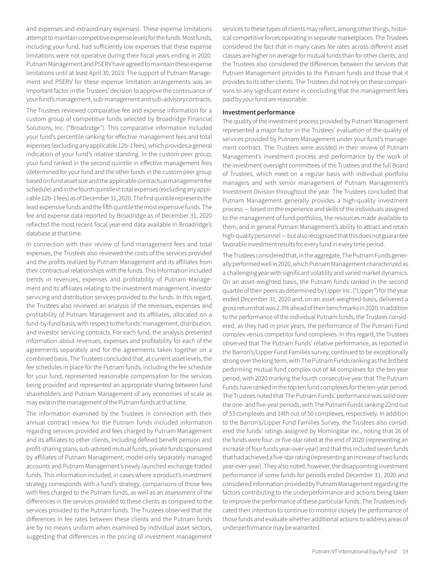and expenses and extraordinary expenses). These expense limitations attempt to maintain competitive expense levels for the funds. Most funds, including your fund, had sufficiently low expenses that these expense limitations were not operative during their fiscal years ending in 2020. Putnam Management and PSERV have agreed to maintain these expense limitations until at least April 30, 2023. The support of Putnam Management and PSERV for these expense limitation arrangements was an important factor in the Trustees' decision to approve the continuance of your fund's management, sub-management and sub-advisory contracts.

The Trustees reviewed comparative fee and expense information for a custom group of competitive funds selected by Broadridge Financial Solutions, Inc. ("Broadridge"). This comparative information included your fund's percentile ranking for effective management fees and total expenses (excluding any applicable 12b-1 fees), which provides a general indication of your fund's relative standing. In the custom peer group, your fund ranked in the second quintile in effective management fees (determined for your fund and the other funds in the custom peer group based on fund asset size and the applicable contractual management fee schedule) and in the fourth quintile in total expenses (excluding any applicable 12b-1 fees) as of December 31, 2020. The first quintile represents the least expensive funds and the fifth quintile the most expensive funds. The fee and expense data reported by Broadridge as of December 31, 2020 reflected the most recent fiscal year-end data available in Broadridge's database at that time.

In connection with their review of fund management fees and total expenses, the Trustees also reviewed the costs of the services provided and the profits realized by Putnam Management and its affiliates from their contractual relationships with the funds. This information included trends in revenues, expenses and profitability of Putnam Management and its affiliates relating to the investment management, investor servicing and distribution services provided to the funds. In this regard, the Trustees also reviewed an analysis of the revenues, expenses and profitability of Putnam Management and its affiliates, allocated on a fund-by-fund basis, with respect to the funds' management, distribution, and investor servicing contracts. For each fund, the analysis presented information about revenues, expenses and profitability for each of the agreements separately and for the agreements taken together on a combined basis. The Trustees concluded that, at current asset levels, the fee schedules in place for the Putnam funds, including the fee schedule for your fund, represented reasonable compensation for the services being provided and represented an appropriate sharing between fund shareholders and Putnam Management of any economies of scale as may exist in the management of the Putnam funds at that time.

The information examined by the Trustees in connection with their annual contract review for the Putnam funds included information regarding services provided and fees charged by Putnam Management and its affiliates to other clients, including defined benefit pension and profit-sharing plans, sub-advised mutual funds, private funds sponsored by affiliates of Putnam Management, model-only separately managed accounts and Putnam Management's newly launched exchange-traded funds. This information included, in cases where a product's investment strategy corresponds with a fund's strategy, comparisons of those fees with fees charged to the Putnam funds, as well as an assessment of the differences in the services provided to these clients as compared to the services provided to the Putnam funds. The Trustees observed that the differences in fee rates between these clients and the Putnam funds are by no means uniform when examined by individual asset sectors, suggesting that differences in the pricing of investment management services to these types of clients may reflect, among other things, historical competitive forces operating in separate marketplaces. The Trustees considered the fact that in many cases fee rates across different asset classes are higher on average for mutual funds than for other clients, and the Trustees also considered the differences between the services that Putnam Management provides to the Putnam funds and those that it provides to its other clients. The Trustees did not rely on these comparisons to any significant extent in concluding that the management fees paid by your fund are reasonable.

#### **Investment performance**

The quality of the investment process provided by Putnam Management represented a major factor in the Trustees' evaluation of the quality of services provided by Putnam Management under your fund's management contract. The Trustees were assisted in their review of Putnam Management's investment process and performance by the work of the investment oversight committees of the Trustees and the full Board of Trustees, which meet on a regular basis with individual portfolio managers and with senior management of Putnam Management's Investment Division throughout the year. The Trustees concluded that Putnam Management generally provides a high-quality investment process — based on the experience and skills of the individuals assigned to the management of fund portfolios, the resources made available to them, and in general Putnam Management's ability to attract and retain high-quality personnel — but also recognized that this does not guarantee favorable investment results for every fund in every time period.

The Trustees considered that, in the aggregate, The Putnam Funds generally performed well in 2020, which Putnam Management characterized as a challenging year with significant volatility and varied market dynamics. On an asset-weighted basis, the Putnam funds ranked in the second quartile of their peers as determined by Lipper Inc. ("Lipper") for the year ended December 31, 2020 and, on an asset-weighted-basis, delivered a gross return that was 2.3% ahead of their benchmarks in 2020. In addition to the performance of the individual Putnam funds, the Trustees considered, as they had in prior years, the performance of The Putnam Fund complex versus competitor fund complexes. In this regard, the Trustees observed that The Putnam Funds' relative performance, as reported in the Barron's/Lipper Fund Families survey, continued to be exceptionally strong over the long term, with The Putnam Funds ranking as the 3rd best performing mutual fund complex out of 44 complexes for the ten-year period, with 2020 marking the fourth consecutive year that The Putnam Funds have ranked in the top ten fund complexes for the ten-year period. The Trustees noted that The Putnam Funds' performance was solid over the one- and five-year periods, with The Putnam Funds ranking 22nd out of 53 complexes and 14th out of 50 complexes, respectively. In addition to the Barron's/Lipper Fund Families Survey, the Trustees also considered the funds' ratings assigned by Morningstar Inc., noting that 26 of the funds were four- or five-star rated at the end of 2020 (representing an increase of four funds year-over-year) and that this included seven funds that had achieved a five-star rating (representing an increase of two funds year-over-year). They also noted, however, the disappointing investment performance of some funds for periods ended December 31, 2020 and considered information provided by Putnam Management regarding the factors contributing to the underperformance and actions being taken to improve the performance of these particular funds. The Trustees indicated their intention to continue to monitor closely the performance of those funds and evaluate whether additional actions to address areas of underperformance may be warranted.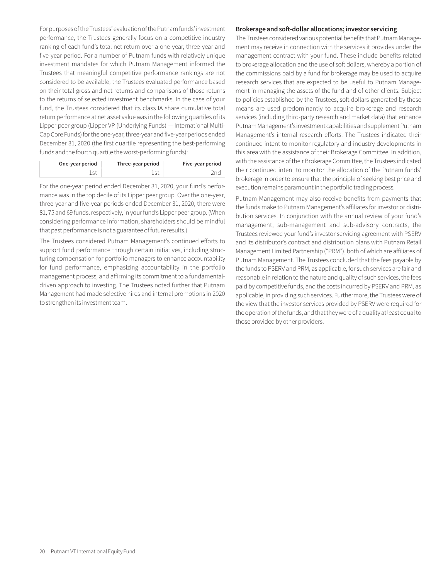For purposes of the Trustees' evaluation of the Putnam funds' investment performance, the Trustees generally focus on a competitive industry ranking of each fund's total net return over a one-year, three-year and five-year period. For a number of Putnam funds with relatively unique investment mandates for which Putnam Management informed the Trustees that meaningful competitive performance rankings are not considered to be available, the Trustees evaluated performance based on their total gross and net returns and comparisons of those returns to the returns of selected investment benchmarks. In the case of your fund, the Trustees considered that its class IA share cumulative total return performance at net asset value was in the following quartiles of its Lipper peer group (Lipper VP (Underlying Funds) — International Multi-Cap Core Funds) for the one-year, three-year and five-year periods ended December 31, 2020 (the first quartile representing the best-performing funds and the fourth quartile the worst-performing funds):

| One-year period | Three-year period | Five-year period |
|-----------------|-------------------|------------------|
|                 |                   |                  |

For the one-year period ended December 31, 2020, your fund's performance was in the top decile of its Lipper peer group. Over the one-year, three-year and five-year periods ended December 31, 2020, there were 81, 75 and 69 funds, respectively, in your fund's Lipper peer group. (When considering performance information, shareholders should be mindful that past performance is not a guarantee of future results.)

The Trustees considered Putnam Management's continued efforts to support fund performance through certain initiatives, including structuring compensation for portfolio managers to enhance accountability for fund performance, emphasizing accountability in the portfolio management process, and affirming its commitment to a fundamentaldriven approach to investing. The Trustees noted further that Putnam Management had made selective hires and internal promotions in 2020 to strengthen its investment team.

#### **Brokerage and soft-dollar allocations; investor servicing**

The Trustees considered various potential benefits that Putnam Management may receive in connection with the services it provides under the management contract with your fund. These include benefits related to brokerage allocation and the use of soft dollars, whereby a portion of the commissions paid by a fund for brokerage may be used to acquire research services that are expected to be useful to Putnam Management in managing the assets of the fund and of other clients. Subject to policies established by the Trustees, soft dollars generated by these means are used predominantly to acquire brokerage and research services (including third-party research and market data) that enhance Putnam Management's investment capabilities and supplement Putnam Management's internal research efforts. The Trustees indicated their continued intent to monitor regulatory and industry developments in this area with the assistance of their Brokerage Committee. In addition, with the assistance of their Brokerage Committee, the Trustees indicated their continued intent to monitor the allocation of the Putnam funds' brokerage in order to ensure that the principle of seeking best price and execution remains paramount in the portfolio trading process.

Putnam Management may also receive benefits from payments that the funds make to Putnam Management's affiliates for investor or distribution services. In conjunction with the annual review of your fund's management, sub-management and sub-advisory contracts, the Trustees reviewed your fund's investor servicing agreement with PSERV and its distributor's contract and distribution plans with Putnam Retail Management Limited Partnership ("PRM"), both of which are affiliates of Putnam Management. The Trustees concluded that the fees payable by the funds to PSERV and PRM, as applicable, for such services are fair and reasonable in relation to the nature and quality of such services, the fees paid by competitive funds, and the costs incurred by PSERV and PRM, as applicable, in providing such services. Furthermore, the Trustees were of the view that the investor services provided by PSERV were required for the operation of the funds, and that they were of a quality at least equal to those provided by other providers.